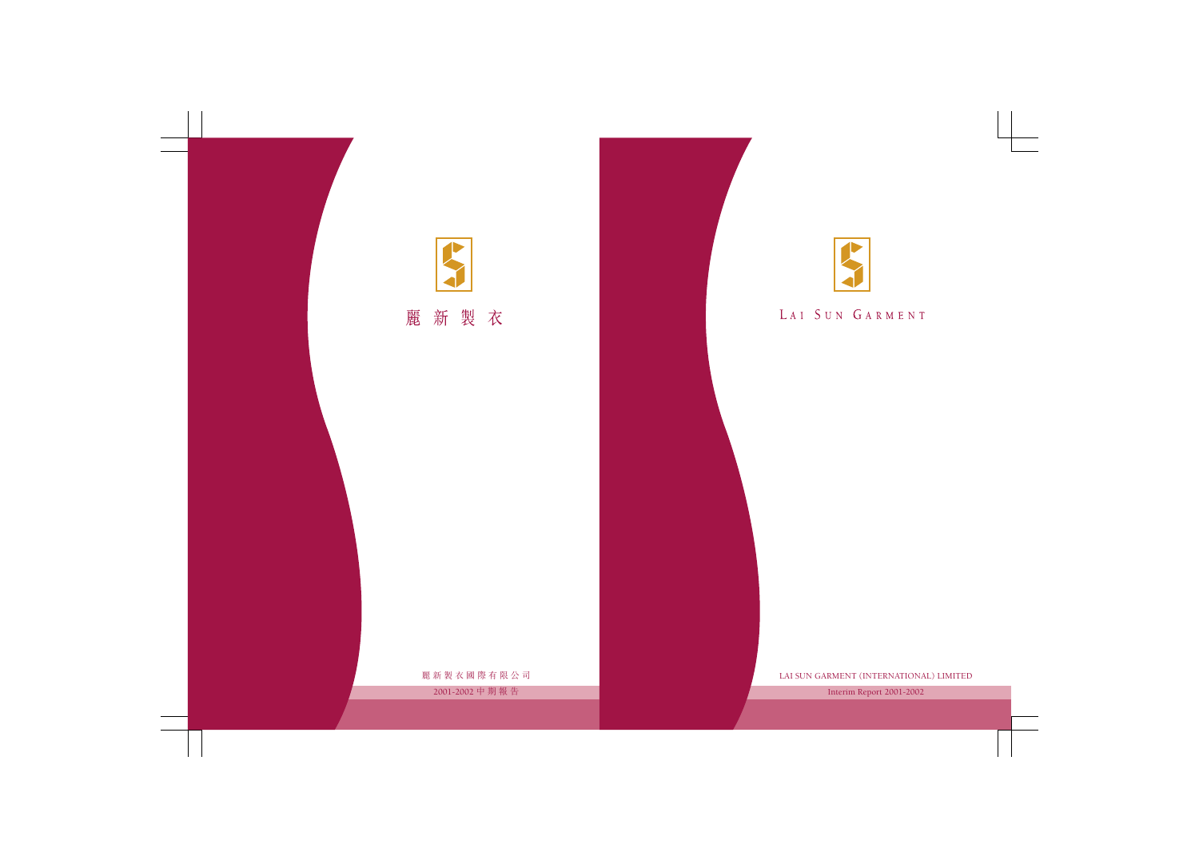

# LAI SUN GARMENT

LAI SUN GARMENT (INTERNATIONAL) LIMITED

Interim Report 2001-2002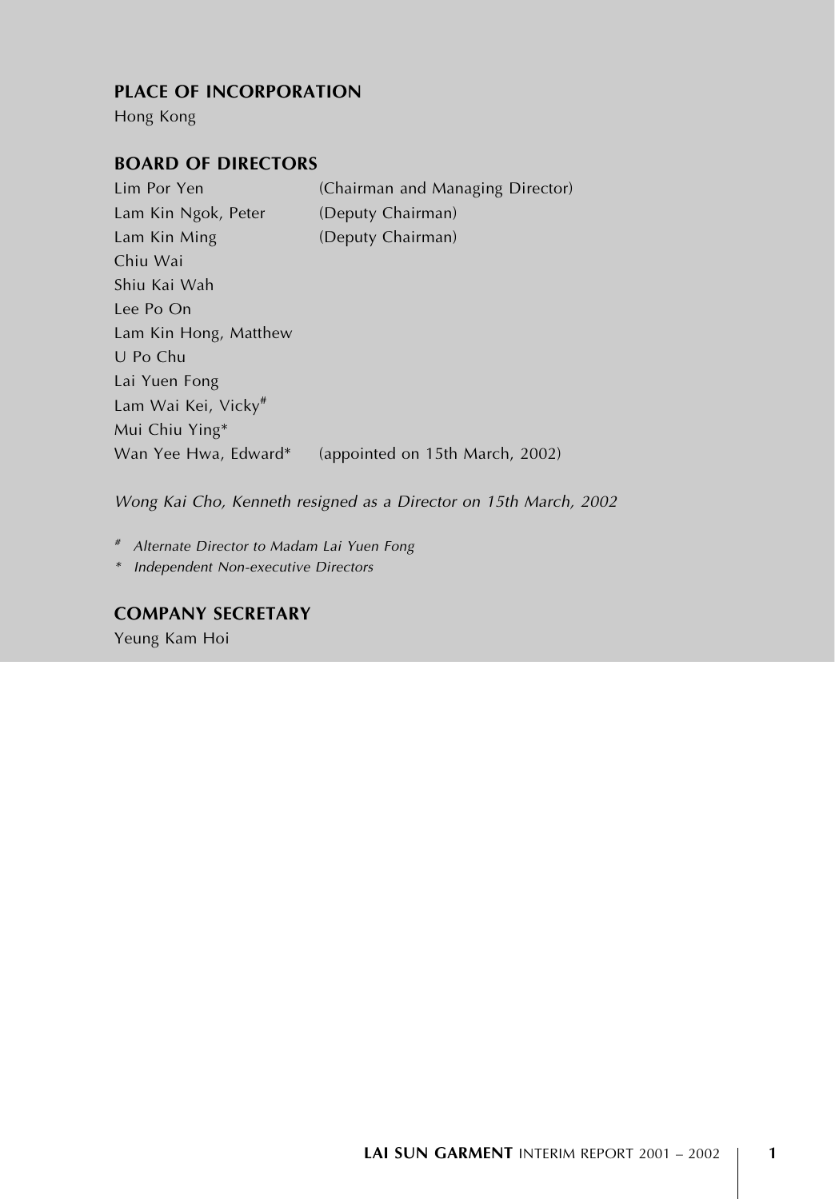# PLACE OF INCORPORATION

Hong Kong

# BOARD OF DIRECTORS

Lim Por Yen (Chairman and Managing Director) Lam Kin Ngok, Peter (Deputy Chairman) Lam Kin Ming (Deputy Chairman) Chiu Wai Shiu Kai Wah Lee Po On Lam Kin Hong, Matthew U Po Chu Lai Yuen Fong Lam Wai Kei, Vicky# Mui Chiu Ying\* Wan Yee Hwa, Edward\* (appointed on 15th March, 2002)

Wong Kai Cho, Kenneth resigned as a Director on 15th March, 2002

# Alternate Director to Madam Lai Yuen Fong

\* Independent Non-executive Directors

# COMPANY SECRETARY

Yeung Kam Hoi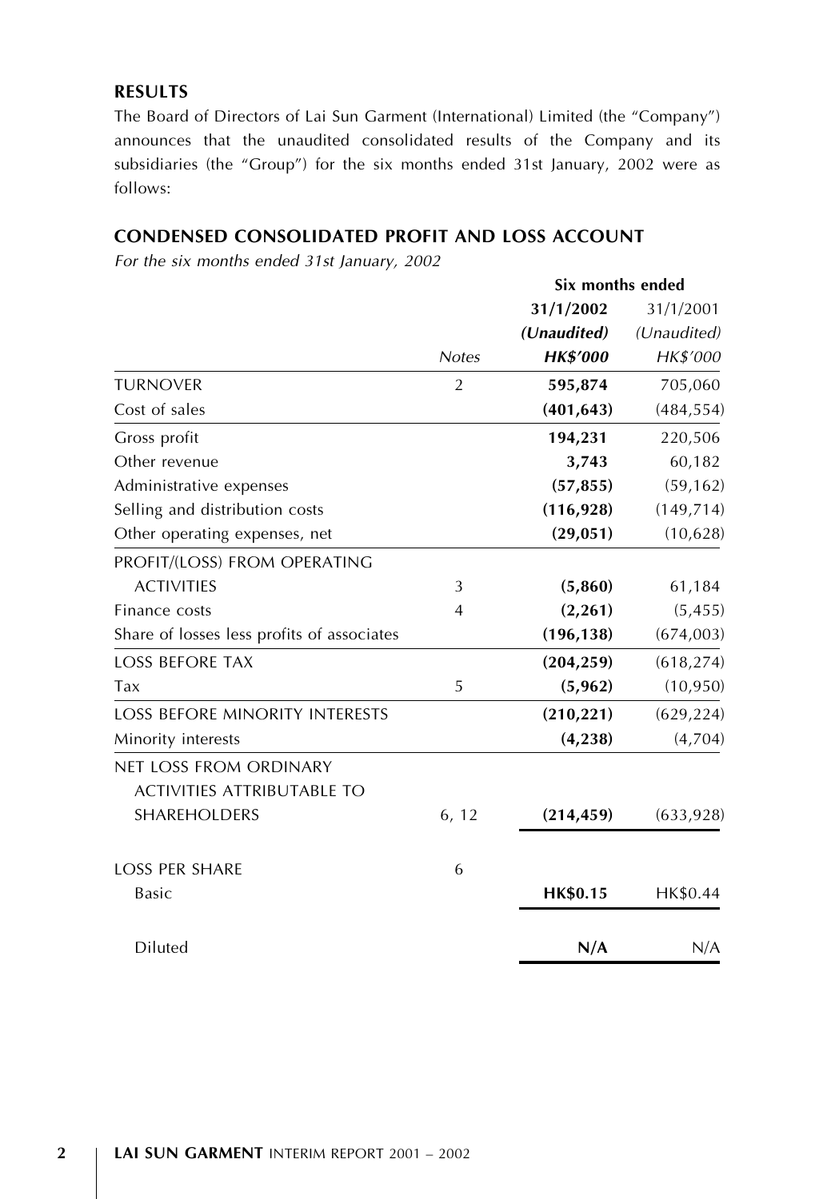# **RESULTS**

The Board of Directors of Lai Sun Garment (International) Limited (the ''Company'') announces that the unaudited consolidated results of the Company and its subsidiaries (the ''Group'') for the six months ended 31st January, 2002 were as follows:

# CONDENSED CONSOLIDATED PROFIT AND LOSS ACCOUNT

For the six months ended 31st January, 2002

|                                            |                | Six months ended |             |
|--------------------------------------------|----------------|------------------|-------------|
|                                            |                | 31/1/2002        | 31/1/2001   |
|                                            |                | (Unaudited)      | (Unaudited) |
|                                            | <b>Notes</b>   | <b>HK\$'000</b>  | HK\$'000    |
| <b>TURNOVER</b>                            | $\overline{2}$ | 595,874          | 705,060     |
| Cost of sales                              |                | (401, 643)       | (484, 554)  |
| Gross profit                               |                | 194,231          | 220,506     |
| Other revenue                              |                | 3,743            | 60,182      |
| Administrative expenses                    |                | (57, 855)        | (59, 162)   |
| Selling and distribution costs             |                | (116, 928)       | (149, 714)  |
| Other operating expenses, net              |                | (29, 051)        | (10,628)    |
| PROFIT/(LOSS) FROM OPERATING               |                |                  |             |
| <b>ACTIVITIES</b>                          | 3              | (5,860)          | 61,184      |
| Finance costs                              | 4              | (2, 261)         | (5, 455)    |
| Share of losses less profits of associates |                | (196, 138)       | (674,003)   |
| <b>LOSS BEFORE TAX</b>                     |                | (204, 259)       | (618, 274)  |
| <b>Tax</b>                                 | 5              | (5,962)          | (10, 950)   |
| <b>LOSS BEFORE MINORITY INTERESTS</b>      |                | (210, 221)       | (629, 224)  |
| Minority interests                         |                | (4,238)          | (4,704)     |
| NET LOSS FROM ORDINARY                     |                |                  |             |
| <b>ACTIVITIES ATTRIBUTABLE TO</b>          |                |                  |             |
| <b>SHAREHOLDERS</b>                        | 6, 12          | (214, 459)       | (633, 928)  |
| <b>LOSS PER SHARE</b>                      | 6              |                  |             |
| <b>Basic</b>                               |                | <b>HK\$0.15</b>  | HK\$0.44    |
| Diluted                                    |                | N/A              | N/A         |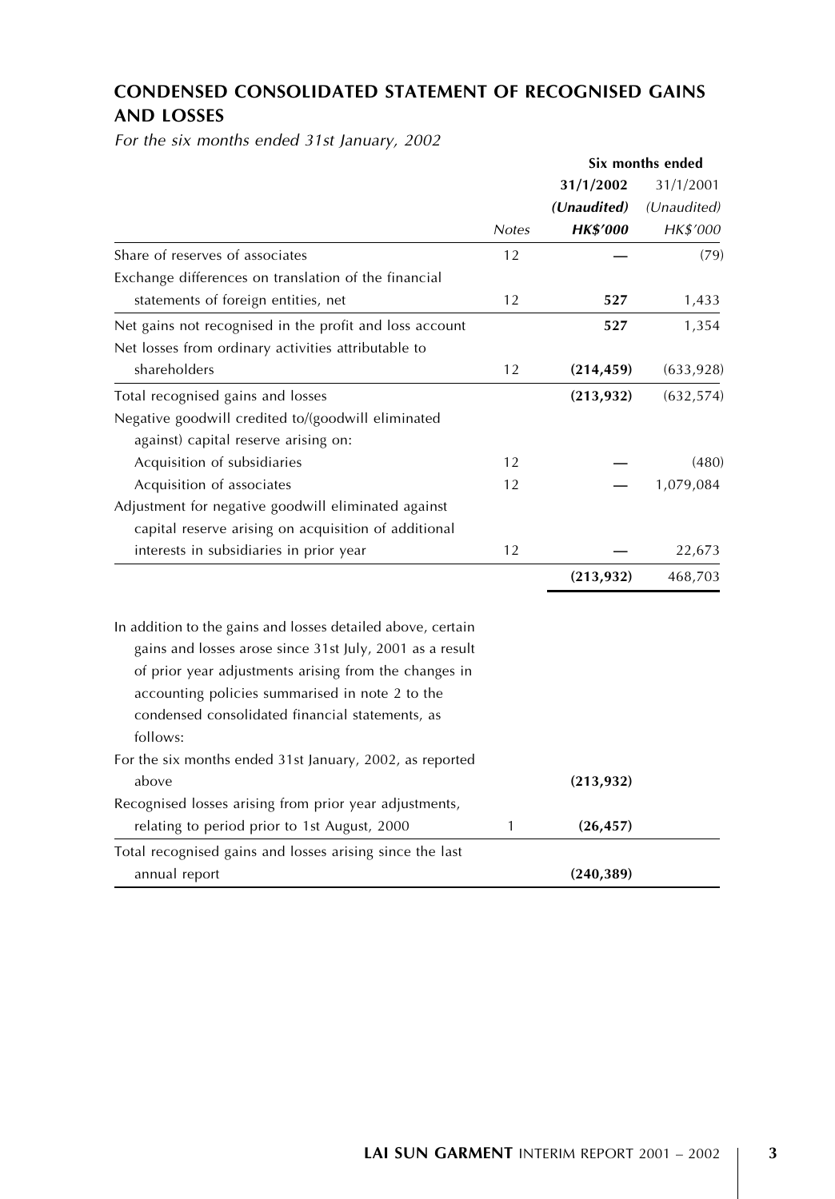# CONDENSED CONSOLIDATED STATEMENT OF RECOGNISED GAINS AND LOSSES

For the six months ended 31st January, 2002

|                                                                                                                         |              | Six months ended |             |
|-------------------------------------------------------------------------------------------------------------------------|--------------|------------------|-------------|
|                                                                                                                         |              | 31/1/2002        | 31/1/2001   |
|                                                                                                                         |              | (Unaudited)      | (Unaudited) |
|                                                                                                                         | <b>Notes</b> | <b>HK\$'000</b>  | HK\$'000    |
| Share of reserves of associates                                                                                         | 12           |                  | (79)        |
| Exchange differences on translation of the financial                                                                    |              |                  |             |
| statements of foreign entities, net                                                                                     | 12           | 527              | 1,433       |
| Net gains not recognised in the profit and loss account                                                                 |              | 527              | 1,354       |
| Net losses from ordinary activities attributable to                                                                     |              |                  |             |
| shareholders                                                                                                            | 12           | (214, 459)       | (633, 928)  |
| Total recognised gains and losses                                                                                       |              | (213, 932)       | (632, 574)  |
| Negative goodwill credited to/(goodwill eliminated                                                                      |              |                  |             |
| against) capital reserve arising on:                                                                                    |              |                  |             |
| Acquisition of subsidiaries                                                                                             | 12           |                  | (480)       |
| Acquisition of associates                                                                                               | 12           |                  | 1,079,084   |
| Adjustment for negative goodwill eliminated against                                                                     |              |                  |             |
| capital reserve arising on acquisition of additional                                                                    |              |                  |             |
| interests in subsidiaries in prior year                                                                                 | 12           |                  | 22,673      |
|                                                                                                                         |              | (213, 932)       | 468,703     |
|                                                                                                                         |              |                  |             |
| In addition to the gains and losses detailed above, certain<br>gains and losses arose since 31st July, 2001 as a result |              |                  |             |
|                                                                                                                         |              |                  |             |
| of prior year adjustments arising from the changes in                                                                   |              |                  |             |
| accounting policies summarised in note 2 to the<br>condensed consolidated financial statements, as                      |              |                  |             |
| follows:                                                                                                                |              |                  |             |
|                                                                                                                         |              |                  |             |
| For the six months ended 31st January, 2002, as reported<br>above                                                       |              |                  |             |
|                                                                                                                         |              | (213, 932)       |             |
| Recognised losses arising from prior year adjustments,<br>relating to period prior to 1st August, 2000                  | 1            | (26, 457)        |             |
|                                                                                                                         |              |                  |             |
| Total recognised gains and losses arising since the last                                                                |              |                  |             |
| annual report                                                                                                           |              | (240, 389)       |             |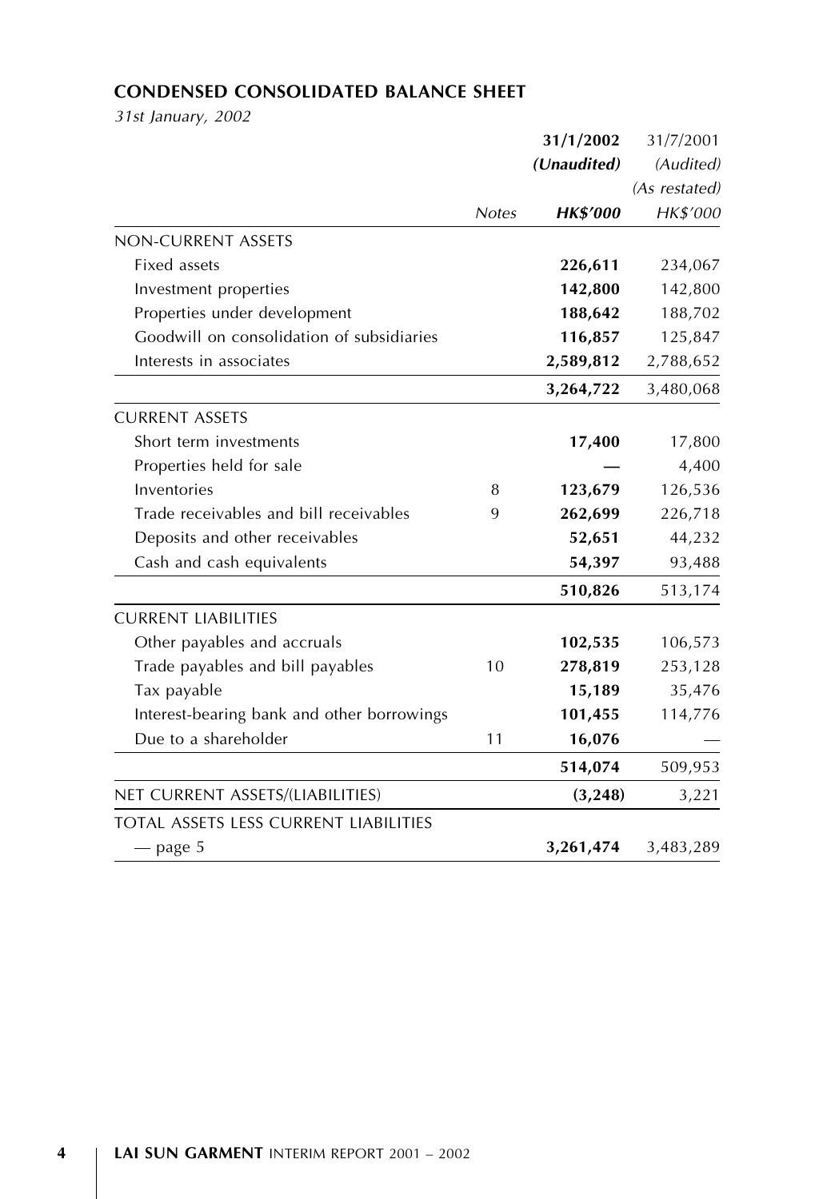# CONDENSED CONSOLIDATED BALANCE SHEET

31st January, 2002

|                                              |              | 31/1/2002       | 31/7/2001     |  |
|----------------------------------------------|--------------|-----------------|---------------|--|
|                                              | (Unaudited)  |                 | (Audited)     |  |
|                                              |              |                 | (As restated) |  |
|                                              | <b>Notes</b> | <b>HK\$'000</b> | HK\$'000      |  |
| <b>NON-CURRENT ASSETS</b>                    |              |                 |               |  |
| Fixed assets                                 |              | 226,611         | 234,067       |  |
| Investment properties                        |              | 142,800         | 142,800       |  |
| Properties under development                 |              | 188,642         | 188,702       |  |
| Goodwill on consolidation of subsidiaries    |              | 116,857         | 125,847       |  |
| Interests in associates                      |              | 2,589,812       | 2,788,652     |  |
|                                              |              | 3,264,722       | 3,480,068     |  |
| <b>CURRENT ASSETS</b>                        |              |                 |               |  |
| Short term investments                       |              | 17,400          | 17,800        |  |
| Properties held for sale                     |              |                 | 4,400         |  |
| Inventories                                  | 8            | 123,679         | 126,536       |  |
| Trade receivables and bill receivables       | 9            | 262,699         | 226,718       |  |
| Deposits and other receivables               |              | 52,651          | 44,232        |  |
| Cash and cash equivalents                    |              | 54,397          | 93,488        |  |
|                                              |              | 510,826         | 513,174       |  |
| <b>CURRENT LIABILITIES</b>                   |              |                 |               |  |
| Other payables and accruals                  |              | 102,535         | 106,573       |  |
| Trade payables and bill payables             | 10           | 278,819         | 253,128       |  |
| Tax payable                                  |              | 15,189          | 35,476        |  |
| Interest-bearing bank and other borrowings   |              | 101,455         | 114,776       |  |
| Due to a shareholder                         | 11           | 16,076          |               |  |
|                                              |              | 514,074         | 509,953       |  |
| NET CURRENT ASSETS/(LIABILITIES)             |              | (3, 248)        | 3,221         |  |
| <b>TOTAL ASSETS LESS CURRENT LIABILITIES</b> |              |                 |               |  |
| — page 5                                     |              | 3,261,474       | 3,483,289     |  |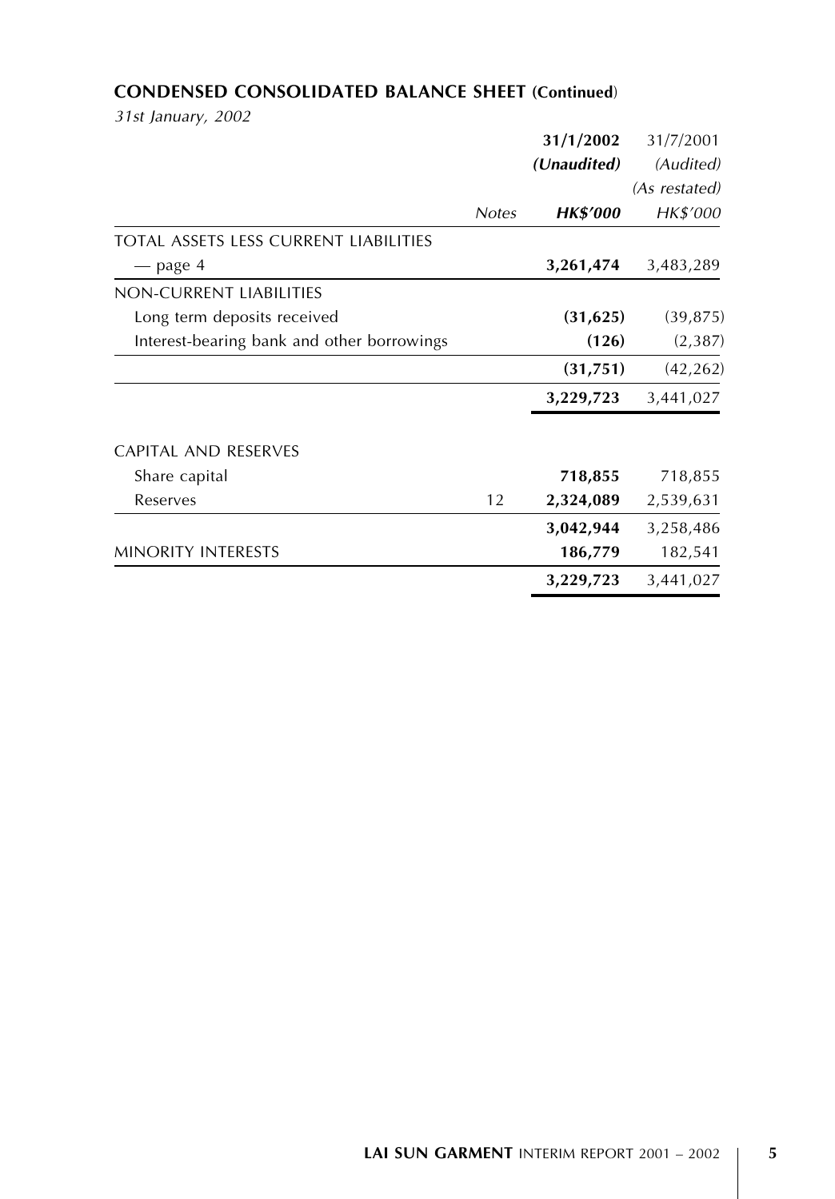# CONDENSED CONSOLIDATED BALANCE SHEET (Continued)

31st January, 2002

|                                            |              | 31/1/2002       | 31/7/2001     |
|--------------------------------------------|--------------|-----------------|---------------|
|                                            |              | (Unaudited)     | (Audited)     |
|                                            |              |                 | (As restated) |
|                                            | <b>Notes</b> | <b>HK\$′000</b> | HK\$'000      |
| TOTAL ASSETS LESS CURRENT LIABILITIES      |              |                 |               |
| — page 4                                   |              | 3,261,474       | 3,483,289     |
| NON-CURRENT LIABILITIES                    |              |                 |               |
| Long term deposits received                |              | (31, 625)       | (39, 875)     |
| Interest-bearing bank and other borrowings |              | (126)           | (2, 387)      |
|                                            |              | (31, 751)       | (42, 262)     |
|                                            |              | 3,229,723       | 3,441,027     |
| <b>CAPITAL AND RESERVES</b>                |              |                 |               |
| Share capital                              |              | 718,855         | 718,855       |
| Reserves                                   | 12           | 2,324,089       | 2,539,631     |
|                                            |              | 3,042,944       | 3,258,486     |
| <b>MINORITY INTERESTS</b>                  |              | 186,779         | 182,541       |
|                                            |              | 3,229,723       | 3,441,027     |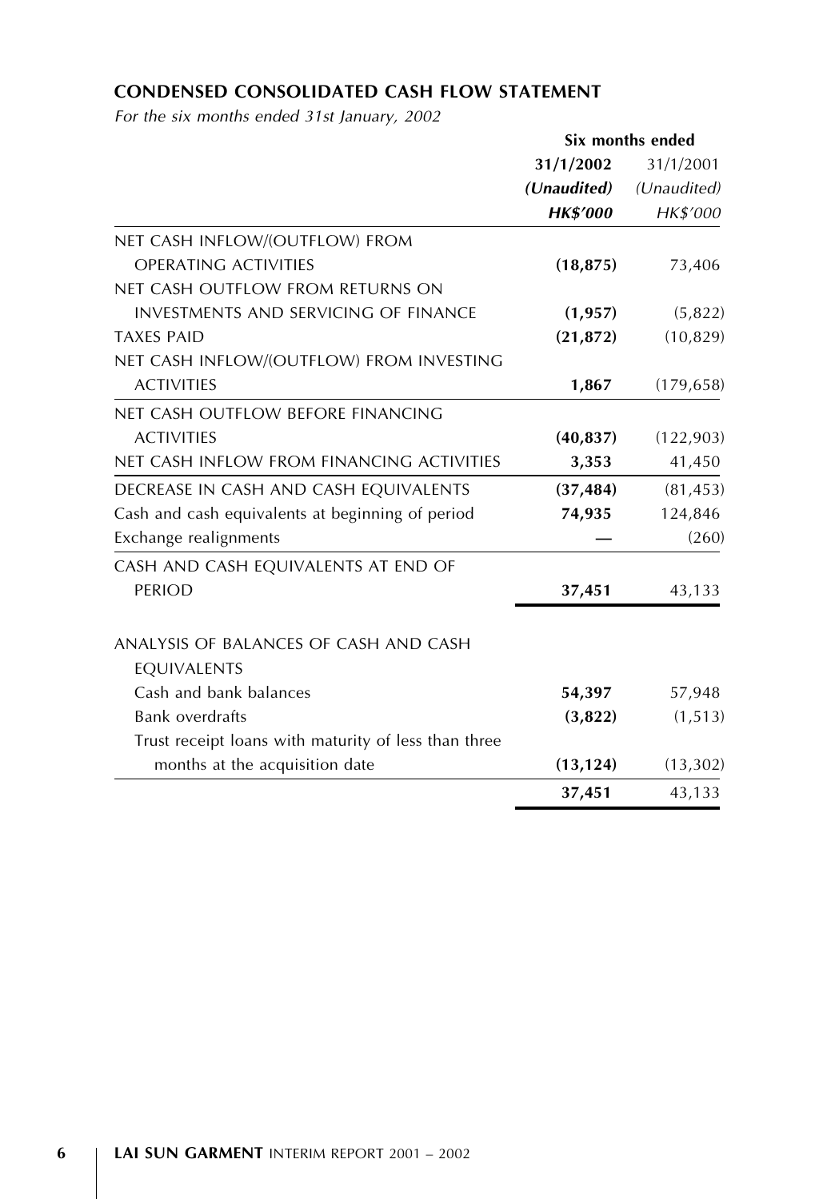# CONDENSED CONSOLIDATED CASH FLOW STATEMENT

For the six months ended 31st January, 2002

|                                                      | Six months ended |             |  |  |
|------------------------------------------------------|------------------|-------------|--|--|
|                                                      | 31/1/2002        | 31/1/2001   |  |  |
|                                                      | (Unaudited)      | (Unaudited) |  |  |
|                                                      | <b>HK\$'000</b>  | HK\$'000    |  |  |
| NET CASH INFLOW/(OUTFLOW) FROM                       |                  |             |  |  |
| <b>OPERATING ACTIVITIES</b>                          | (18, 875)        | 73,406      |  |  |
| NET CASH OUTFLOW FROM RETURNS ON                     |                  |             |  |  |
| <b>INVESTMENTS AND SERVICING OF FINANCE</b>          | (1, 957)         | (5,822)     |  |  |
| <b>TAXES PAID</b>                                    | (21, 872)        | (10, 829)   |  |  |
| NET CASH INFLOW/(OUTFLOW) FROM INVESTING             |                  |             |  |  |
| <b>ACTIVITIES</b>                                    | 1,867            | (179, 658)  |  |  |
| NET CASH OUTFLOW BEFORE FINANCING                    |                  |             |  |  |
| <b>ACTIVITIES</b>                                    | (40, 837)        | (122, 903)  |  |  |
| NET CASH INFLOW FROM FINANCING ACTIVITIES            | 3,353            | 41,450      |  |  |
| DECREASE IN CASH AND CASH EQUIVALENTS                | (37, 484)        | (81, 453)   |  |  |
| Cash and cash equivalents at beginning of period     | 74,935           | 124,846     |  |  |
| Exchange realignments                                |                  | (260)       |  |  |
| CASH AND CASH EQUIVALENTS AT END OF                  |                  |             |  |  |
| <b>PERIOD</b>                                        | 37,451           | 43,133      |  |  |
| ANALYSIS OF BALANCES OF CASH AND CASH                |                  |             |  |  |
| EQUIVALENTS                                          |                  |             |  |  |
| Cash and bank balances                               | 54,397           | 57,948      |  |  |
| <b>Bank overdrafts</b>                               | (3,822)          | (1, 513)    |  |  |
| Trust receipt loans with maturity of less than three |                  |             |  |  |
| months at the acquisition date                       | (13, 124)        | (13, 302)   |  |  |
|                                                      | 37,451           | 43,133      |  |  |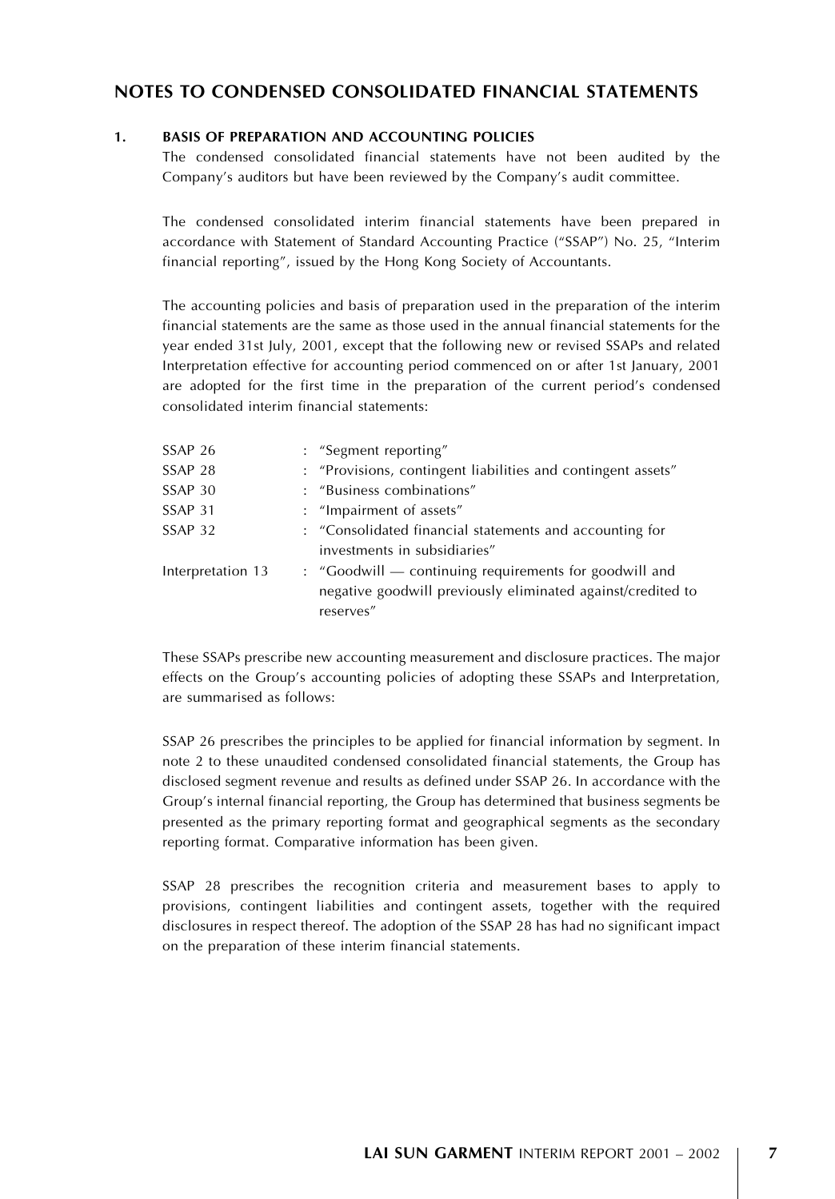# NOTES TO CONDENSED CONSOLIDATED FINANCIAL STATEMENTS

#### 1. BASIS OF PREPARATION AND ACCOUNTING POLICIES

The condensed consolidated financial statements have not been audited by the Company's auditors but have been reviewed by the Company's audit committee.

The condensed consolidated interim financial statements have been prepared in accordance with Statement of Standard Accounting Practice (''SSAP'') No. 25, ''Interim financial reporting'', issued by the Hong Kong Society of Accountants.

The accounting policies and basis of preparation used in the preparation of the interim financial statements are the same as those used in the annual financial statements for the year ended 31st July, 2001, except that the following new or revised SSAPs and related Interpretation effective for accounting period commenced on or after 1st January, 2001 are adopted for the first time in the preparation of the current period's condensed consolidated interim financial statements:

| SSAP 26            | : "Segment reporting"                                                                                                              |
|--------------------|------------------------------------------------------------------------------------------------------------------------------------|
| SSAP <sub>28</sub> | : "Provisions, contingent liabilities and contingent assets"                                                                       |
| SSAP 30            | : "Business combinations"                                                                                                          |
| SSAP <sub>31</sub> | : "Impairment of assets"                                                                                                           |
| SSAP <sub>32</sub> | : "Consolidated financial statements and accounting for<br>investments in subsidiaries"                                            |
|                    |                                                                                                                                    |
| Interpretation 13  | : "Goodwill — continuing requirements for goodwill and<br>negative goodwill previously eliminated against/credited to<br>reserves" |
|                    |                                                                                                                                    |

These SSAPs prescribe new accounting measurement and disclosure practices. The major effects on the Group's accounting policies of adopting these SSAPs and Interpretation, are summarised as follows:

SSAP 26 prescribes the principles to be applied for financial information by segment. In note 2 to these unaudited condensed consolidated financial statements, the Group has disclosed segment revenue and results as defined under SSAP 26. In accordance with the Group's internal financial reporting, the Group has determined that business segments be presented as the primary reporting format and geographical segments as the secondary reporting format. Comparative information has been given.

SSAP 28 prescribes the recognition criteria and measurement bases to apply to provisions, contingent liabilities and contingent assets, together with the required disclosures in respect thereof. The adoption of the SSAP 28 has had no significant impact on the preparation of these interim financial statements.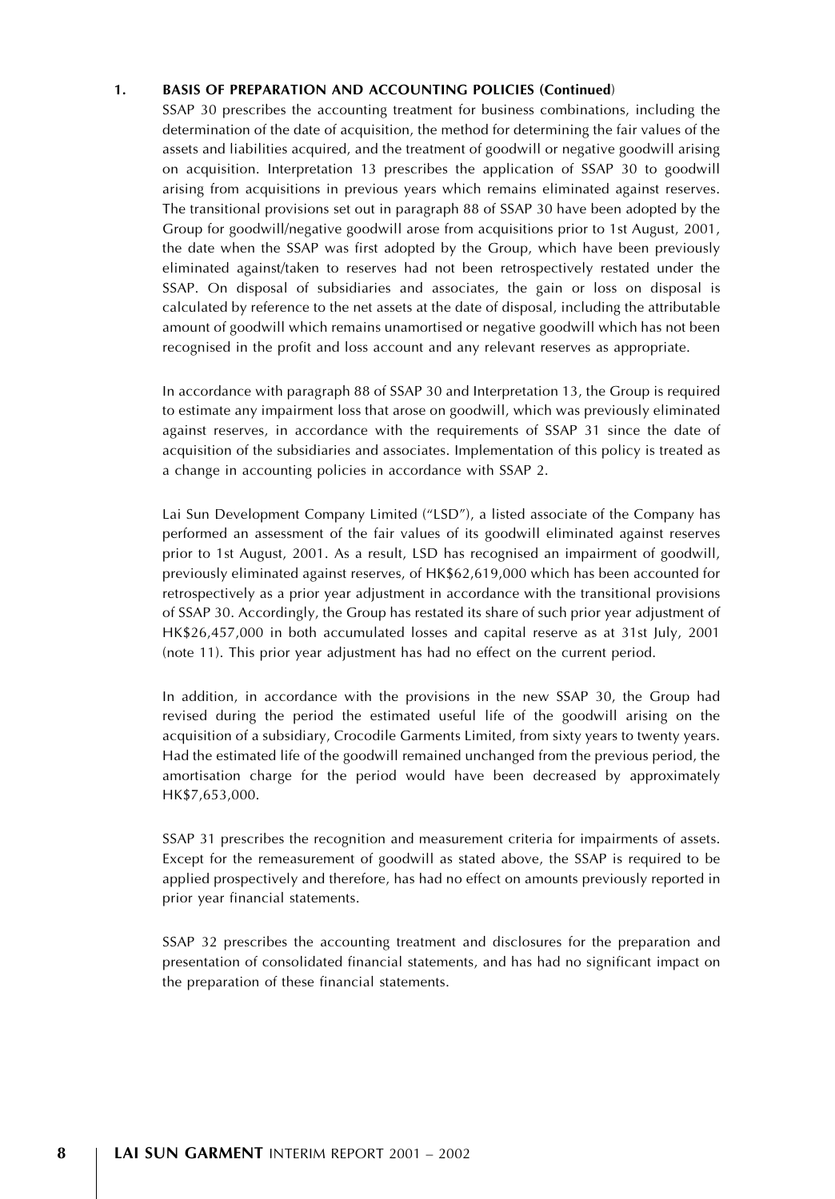#### 1. BASIS OF PREPARATION AND ACCOUNTING POLICIES (Continued)

SSAP 30 prescribes the accounting treatment for business combinations, including the determination of the date of acquisition, the method for determining the fair values of the assets and liabilities acquired, and the treatment of goodwill or negative goodwill arising on acquisition. Interpretation 13 prescribes the application of SSAP 30 to goodwill arising from acquisitions in previous years which remains eliminated against reserves. The transitional provisions set out in paragraph 88 of SSAP 30 have been adopted by the Group for goodwill/negative goodwill arose from acquisitions prior to 1st August, 2001, the date when the SSAP was first adopted by the Group, which have been previously eliminated against/taken to reserves had not been retrospectively restated under the SSAP. On disposal of subsidiaries and associates, the gain or loss on disposal is calculated by reference to the net assets at the date of disposal, including the attributable amount of goodwill which remains unamortised or negative goodwill which has not been recognised in the profit and loss account and any relevant reserves as appropriate.

In accordance with paragraph 88 of SSAP 30 and Interpretation 13, the Group is required to estimate any impairment loss that arose on goodwill, which was previously eliminated against reserves, in accordance with the requirements of SSAP 31 since the date of acquisition of the subsidiaries and associates. Implementation of this policy is treated as a change in accounting policies in accordance with SSAP 2.

Lai Sun Development Company Limited ("LSD"), a listed associate of the Company has performed an assessment of the fair values of its goodwill eliminated against reserves prior to 1st August, 2001. As a result, LSD has recognised an impairment of goodwill, previously eliminated against reserves, of HK\$62,619,000 which has been accounted for retrospectively as a prior year adjustment in accordance with the transitional provisions of SSAP 30. Accordingly, the Group has restated its share of such prior year adjustment of HK\$26,457,000 in both accumulated losses and capital reserve as at 31st July, 2001 (note 11). This prior year adjustment has had no effect on the current period.

In addition, in accordance with the provisions in the new SSAP 30, the Group had revised during the period the estimated useful life of the goodwill arising on the acquisition of a subsidiary, Crocodile Garments Limited, from sixty years to twenty years. Had the estimated life of the goodwill remained unchanged from the previous period, the amortisation charge for the period would have been decreased by approximately HK\$7,653,000.

SSAP 31 prescribes the recognition and measurement criteria for impairments of assets. Except for the remeasurement of goodwill as stated above, the SSAP is required to be applied prospectively and therefore, has had no effect on amounts previously reported in prior year financial statements.

SSAP 32 prescribes the accounting treatment and disclosures for the preparation and presentation of consolidated financial statements, and has had no significant impact on the preparation of these financial statements.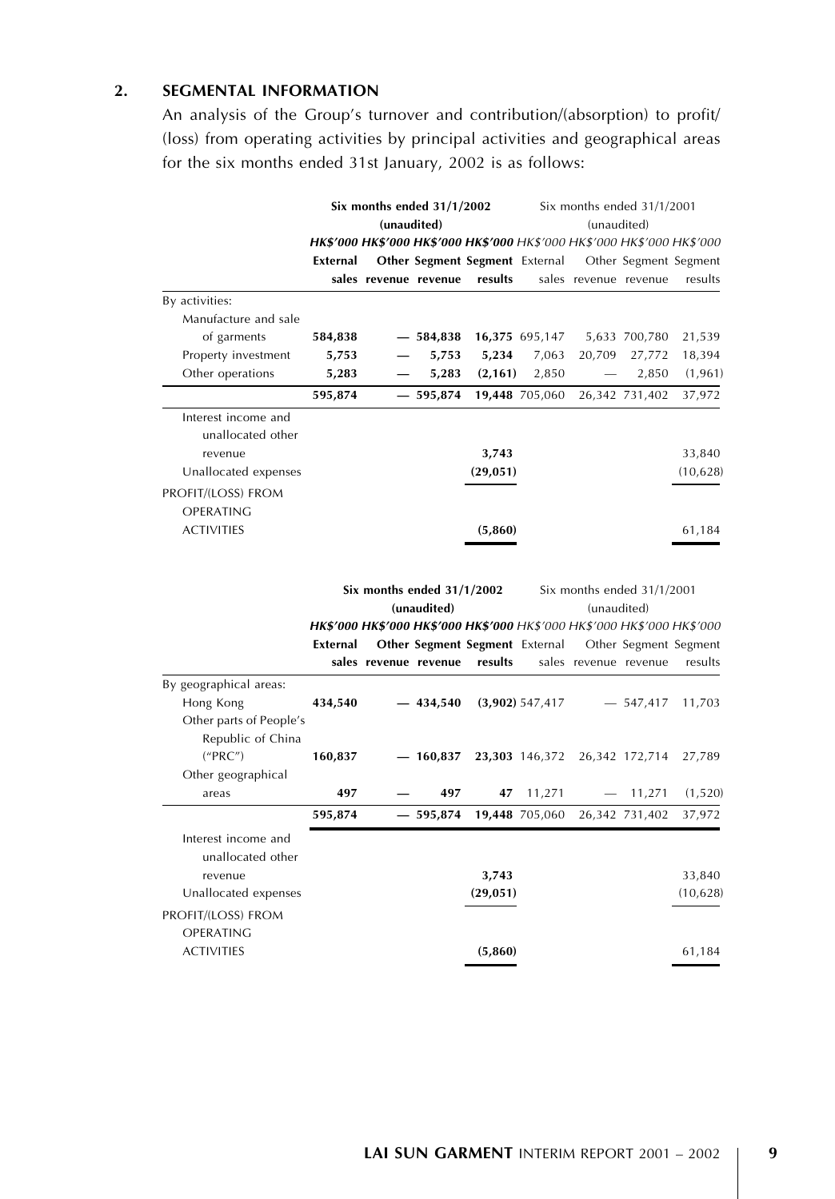# 2. SEGMENTAL INFORMATION

An analysis of the Group's turnover and contribution/(absorption) to profit/ (loss) from operating activities by principal activities and geographical areas for the six months ended 31st January, 2002 is as follows:

|                                | Six months ended 31/1/2002 |  | Six months ended 31/1/2001 |                                                                         |                   |                       |                            |                       |
|--------------------------------|----------------------------|--|----------------------------|-------------------------------------------------------------------------|-------------------|-----------------------|----------------------------|-----------------------|
|                                | (unaudited)                |  |                            | (unaudited)                                                             |                   |                       |                            |                       |
|                                |                            |  |                            | HK\$'000 HK\$'000 HK\$'000 HK\$'000 HK\$'000 HK\$'000 HK\$'000 HK\$'000 |                   |                       |                            |                       |
|                                | External                   |  |                            | Other Segment Segment External                                          |                   |                       |                            | Other Segment Segment |
|                                |                            |  | sales revenue revenue      | results                                                                 |                   |                       | sales revenue revenue      | results               |
| By activities:                 |                            |  |                            |                                                                         |                   |                       |                            |                       |
| Manufacture and sale           |                            |  |                            |                                                                         |                   |                       |                            |                       |
| of garments                    | 584,838                    |  | $-584,838$                 |                                                                         | 16,375 695,147    |                       | 5,633 700,780              | 21,539                |
| Property investment            | 5,753                      |  | 5,753                      | 5,234                                                                   | 7,063             | 20,709                | 27,772                     | 18,394                |
| Other operations               | 5,283                      |  | 5,283                      | (2, 161)                                                                | 2,850             |                       | 2,850                      | (1, 961)              |
|                                | 595,874                    |  | $-595,874$                 |                                                                         | 19,448 705,060    |                       | 26,342 731,402             | 37,972                |
| Interest income and            |                            |  |                            |                                                                         |                   |                       |                            |                       |
| unallocated other              |                            |  |                            |                                                                         |                   |                       |                            |                       |
| revenue                        |                            |  |                            | 3,743                                                                   |                   |                       |                            | 33,840                |
| Unallocated expenses           |                            |  |                            | (29, 051)                                                               |                   |                       |                            | (10, 628)             |
| PROFIT/(LOSS) FROM             |                            |  |                            |                                                                         |                   |                       |                            |                       |
| OPERATING                      |                            |  |                            |                                                                         |                   |                       |                            |                       |
| <b>ACTIVITIES</b>              |                            |  |                            | (5,860)                                                                 |                   |                       |                            | 61,184                |
|                                |                            |  |                            |                                                                         |                   |                       |                            |                       |
|                                |                            |  |                            |                                                                         |                   |                       |                            |                       |
|                                |                            |  | Six months ended 31/1/2002 |                                                                         |                   |                       | Six months ended 31/1/2001 |                       |
|                                |                            |  | (unaudited)                |                                                                         |                   | (unaudited)           |                            |                       |
|                                |                            |  |                            | HK\$'000 HK\$'000 HK\$'000 HK\$'000 HK\$'000 HK\$'000 HK\$'000 HK\$'000 |                   |                       |                            |                       |
|                                | External                   |  |                            | Other Segment Segment External                                          |                   |                       |                            | Other Segment Segment |
|                                |                            |  | sales revenue revenue      | results                                                                 |                   | sales revenue revenue |                            | results               |
| By geographical areas:         |                            |  |                            |                                                                         |                   |                       |                            |                       |
| Hong Kong                      | 434,540                    |  | $-434,540$                 |                                                                         | $(3,902)$ 547,417 |                       | $-547,417$                 | 11,703                |
| Other parts of People's        |                            |  |                            |                                                                         |                   |                       |                            |                       |
| Republic of China              |                            |  |                            |                                                                         |                   |                       |                            |                       |
| ("PRC")                        | 160,837                    |  | $-160,837$                 |                                                                         | 23,303 146,372    |                       | 26,342 172,714             | 27,789                |
| Other geographical             |                            |  |                            |                                                                         |                   |                       |                            |                       |
| areas                          | 497                        |  | 497                        | 47                                                                      | 11,271            |                       | 11,271                     | (1, 520)              |
|                                | 595,874                    |  | $-595,874$                 |                                                                         | 19,448 705,060    |                       | 26,342 731,402             | 37,972                |
| Interest income and            |                            |  |                            |                                                                         |                   |                       |                            |                       |
| unallocated other              |                            |  |                            |                                                                         |                   |                       |                            |                       |
| revenue                        |                            |  |                            | 3,743                                                                   |                   |                       |                            | 33,840                |
| Unallocated expenses           |                            |  |                            | (29, 051)                                                               |                   |                       |                            | (10, 628)             |
|                                |                            |  |                            |                                                                         |                   |                       |                            |                       |
| PROFIT/(LOSS) FROM             |                            |  |                            |                                                                         |                   |                       |                            |                       |
| OPERATING<br><b>ACTIVITIES</b> |                            |  |                            |                                                                         |                   |                       |                            |                       |
|                                |                            |  |                            | (5,860)                                                                 |                   |                       |                            | 61,184                |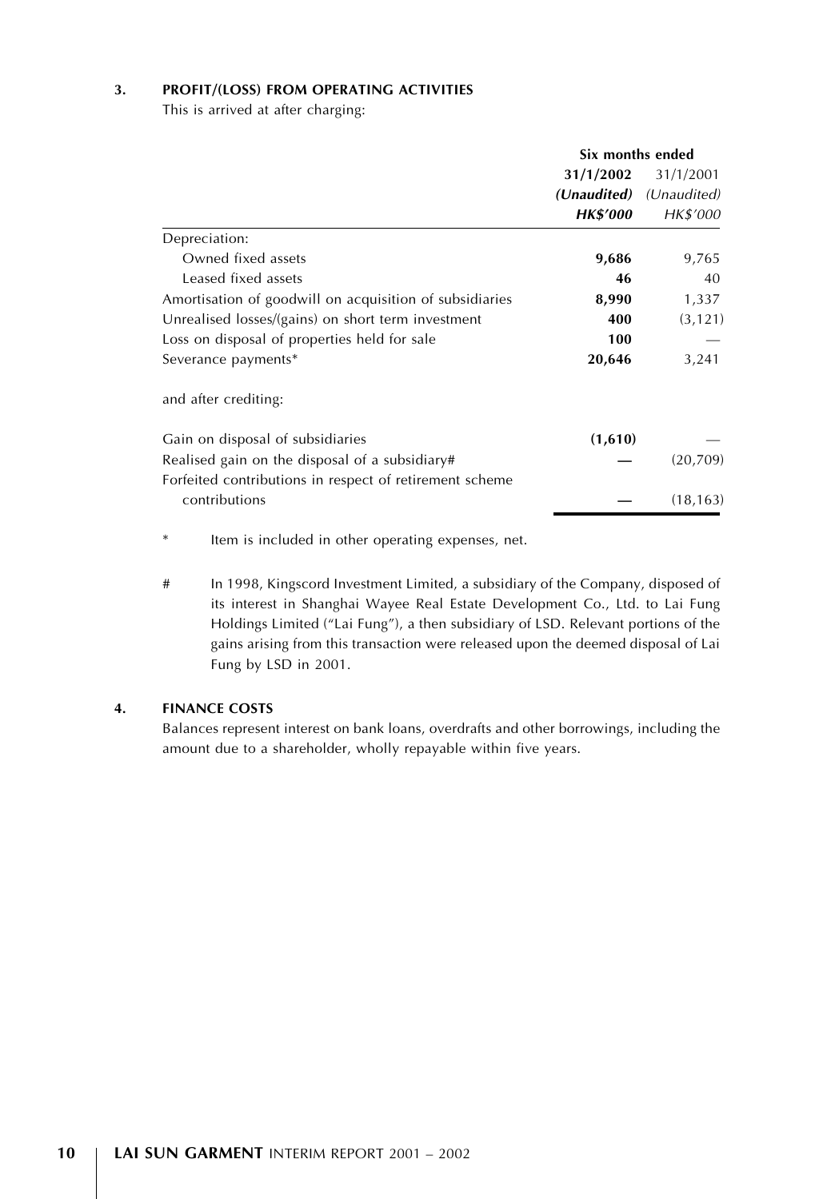#### 3. PROFIT/(LOSS) FROM OPERATING ACTIVITIES

This is arrived at after charging:

|                                                         | Six months ended        |           |  |
|---------------------------------------------------------|-------------------------|-----------|--|
|                                                         | 31/1/2002               | 31/1/2001 |  |
|                                                         | (Unaudited) (Unaudited) |           |  |
|                                                         | <b>HK\$'000</b>         | HK\$'000  |  |
| Depreciation:                                           |                         |           |  |
| Owned fixed assets                                      | 9,686                   | 9,765     |  |
| Leased fixed assets                                     | 46                      | 40        |  |
| Amortisation of goodwill on acquisition of subsidiaries | 8,990                   | 1,337     |  |
| Unrealised losses/(gains) on short term investment      | 400                     | (3, 121)  |  |
| Loss on disposal of properties held for sale            | 100                     |           |  |
| Severance payments*                                     | 20,646                  | 3,241     |  |
| and after crediting:                                    |                         |           |  |
| Gain on disposal of subsidiaries                        | (1,610)                 |           |  |
| Realised gain on the disposal of a subsidiary#          |                         | (20,709)  |  |
| Forfeited contributions in respect of retirement scheme |                         |           |  |
| contributions                                           |                         | (18, 163) |  |

\* Item is included in other operating expenses, net.

# In 1998, Kingscord Investment Limited, a subsidiary of the Company, disposed of its interest in Shanghai Wayee Real Estate Development Co., Ltd. to Lai Fung Holdings Limited (''Lai Fung''), a then subsidiary of LSD. Relevant portions of the gains arising from this transaction were released upon the deemed disposal of Lai Fung by LSD in 2001.

#### 4. FINANCE COSTS

Balances represent interest on bank loans, overdrafts and other borrowings, including the amount due to a shareholder, wholly repayable within five years.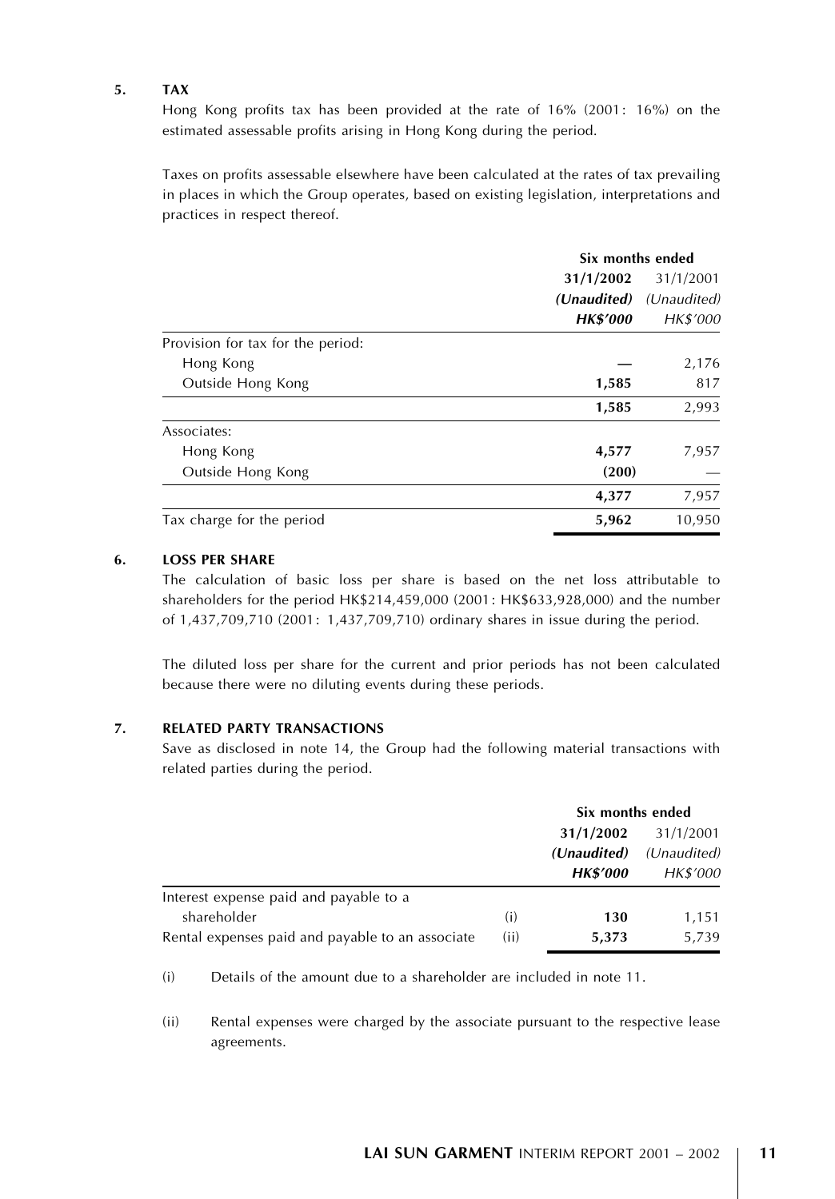#### 5. TAX

Hong Kong profits tax has been provided at the rate of 16% (2001: 16%) on the estimated assessable profits arising in Hong Kong during the period.

Taxes on profits assessable elsewhere have been calculated at the rates of tax prevailing in places in which the Group operates, based on existing legislation, interpretations and practices in respect thereof.

|                                   | Six months ended |             |  |
|-----------------------------------|------------------|-------------|--|
|                                   | 31/1/2002        | 31/1/2001   |  |
|                                   | (Unaudited)      | (Unaudited) |  |
|                                   | <b>HK\$'000</b>  | HK\$'000    |  |
| Provision for tax for the period: |                  |             |  |
| Hong Kong                         |                  | 2,176       |  |
| Outside Hong Kong                 | 1,585            | 817         |  |
|                                   | 1,585            | 2,993       |  |
| Associates:                       |                  |             |  |
| Hong Kong                         | 4,577            | 7,957       |  |
| Outside Hong Kong                 | (200)            |             |  |
|                                   | 4,377            | 7,957       |  |
| Tax charge for the period         | 5,962            | 10,950      |  |

# 6. LOSS PER SHARE

The calculation of basic loss per share is based on the net loss attributable to shareholders for the period HK\$214,459,000 (2001: HK\$633,928,000) and the number of 1,437,709,710 (2001: 1,437,709,710) ordinary shares in issue during the period.

The diluted loss per share for the current and prior periods has not been calculated because there were no diluting events during these periods.

#### 7. RELATED PARTY TRANSACTIONS

Save as disclosed in note 14, the Group had the following material transactions with related parties during the period.

|                                                  |      | Six months ended                            |                                      |  |
|--------------------------------------------------|------|---------------------------------------------|--------------------------------------|--|
|                                                  |      | 31/1/2002<br>(Unaudited)<br><b>HK\$'000</b> | 31/1/2001<br>(Unaudited)<br>HK\$'000 |  |
| Interest expense paid and payable to a           |      |                                             |                                      |  |
| shareholder                                      | (i)  | 130                                         | 1,151                                |  |
| Rental expenses paid and payable to an associate | (ii) | 5,373                                       | 5.739                                |  |

(i) Details of the amount due to a shareholder are included in note 11.

(ii) Rental expenses were charged by the associate pursuant to the respective lease agreements.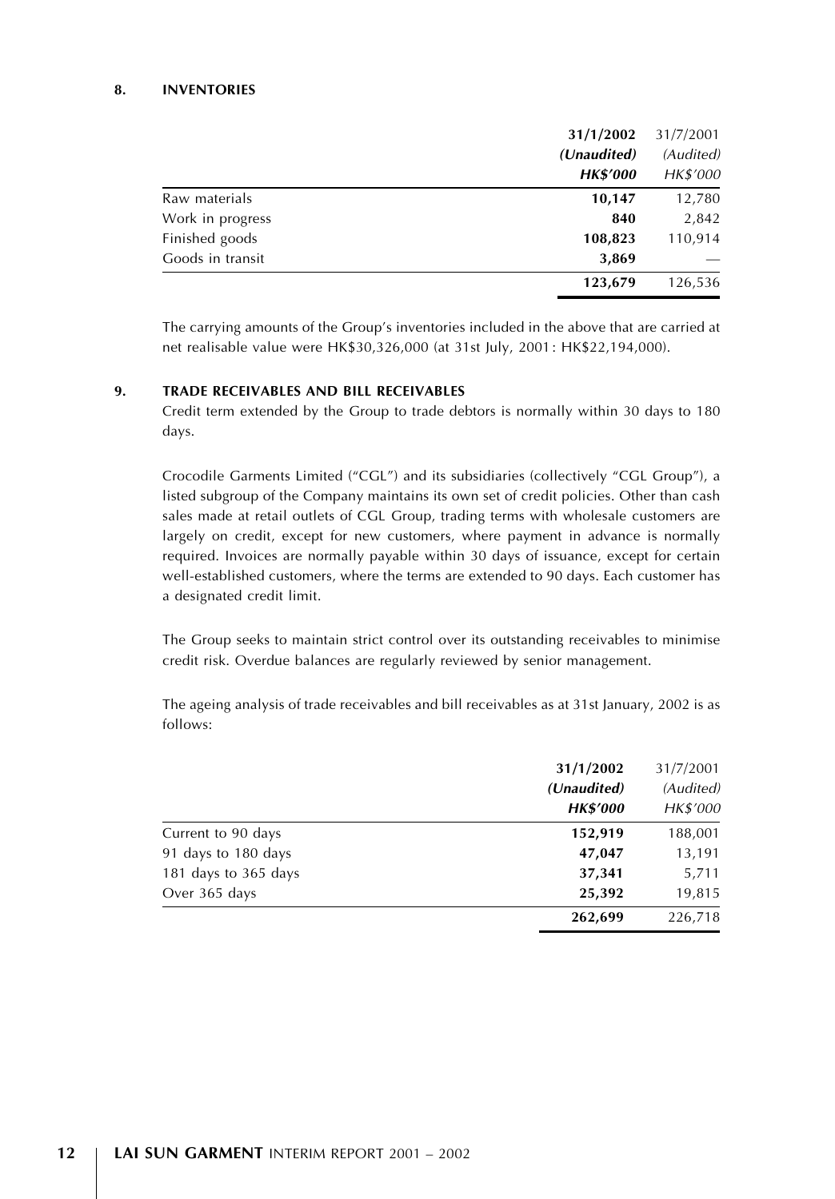#### 8. INVENTORIES

|                  | 31/1/2002<br>(Unaudited) |          |
|------------------|--------------------------|----------|
|                  |                          |          |
|                  | <b>HK\$'000</b>          | HK\$'000 |
| Raw materials    | 10,147                   | 12,780   |
| Work in progress | 840                      | 2,842    |
| Finished goods   | 108,823                  | 110,914  |
| Goods in transit | 3,869                    |          |
|                  | 123,679                  | 126,536  |

The carrying amounts of the Group's inventories included in the above that are carried at net realisable value were HK\$30,326,000 (at 31st July, 2001: HK\$22,194,000).

#### 9. TRADE RECEIVABLES AND BILL RECEIVABLES

Credit term extended by the Group to trade debtors is normally within 30 days to 180 days.

Crocodile Garments Limited (''CGL'') and its subsidiaries (collectively ''CGL Group''), a listed subgroup of the Company maintains its own set of credit policies. Other than cash sales made at retail outlets of CGL Group, trading terms with wholesale customers are largely on credit, except for new customers, where payment in advance is normally required. Invoices are normally payable within 30 days of issuance, except for certain well-established customers, where the terms are extended to 90 days. Each customer has a designated credit limit.

The Group seeks to maintain strict control over its outstanding receivables to minimise credit risk. Overdue balances are regularly reviewed by senior management.

The ageing analysis of trade receivables and bill receivables as at 31st January, 2002 is as follows:

|                      | 31/1/2002       | 31/7/2001 |
|----------------------|-----------------|-----------|
|                      | (Unaudited)     | (Audited) |
|                      | <b>HK\$'000</b> | HK\$'000  |
| Current to 90 days   | 152,919         | 188,001   |
| 91 days to 180 days  | 47,047          | 13,191    |
| 181 days to 365 days | 37,341          | 5,711     |
| Over 365 days        | 25,392          | 19,815    |
|                      | 262,699         | 226,718   |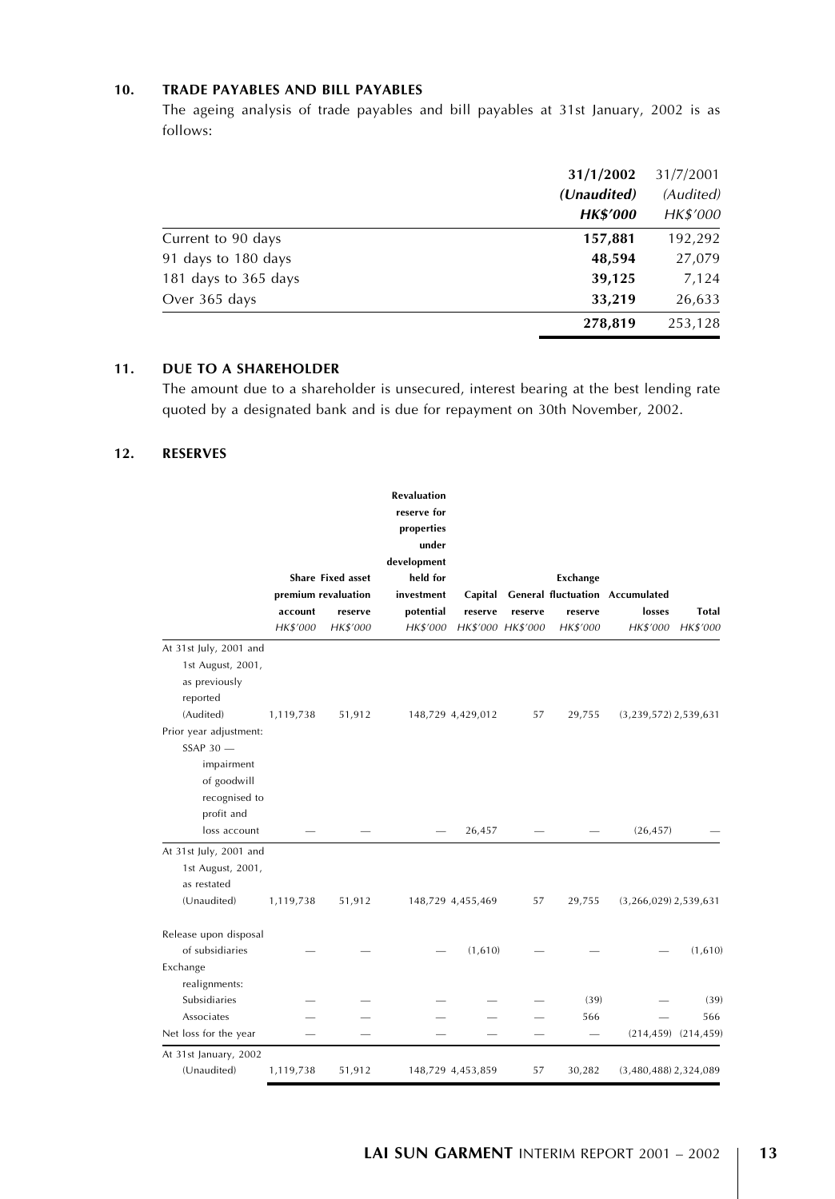### 10. TRADE PAYABLES AND BILL PAYABLES

The ageing analysis of trade payables and bill payables at 31st January, 2002 is as follows:

|                      | 31/1/2002<br>31/7/2001 |           |
|----------------------|------------------------|-----------|
|                      | (Unaudited)            | (Audited) |
|                      | <b>HK\$'000</b>        | HK\$'000  |
| Current to 90 days   | 157,881                | 192,292   |
| 91 days to 180 days  | 48,594                 | 27,079    |
| 181 days to 365 days | 39,125                 | 7,124     |
| Over 365 days        | 33,219                 | 26,633    |
|                      | 278,819                | 253,128   |

#### 11. DUE TO A SHAREHOLDER

The amount due to a shareholder is unsecured, interest bearing at the best lending rate quoted by a designated bank and is due for repayment on 30th November, 2002.

#### 12. RESERVES

|                                                                                                        | account<br>HK\$'000 | <b>Share Fixed asset</b><br>premium revaluation<br>reserve<br>HK\$'000 | <b>Revaluation</b><br>reserve for<br>properties<br>under<br>development<br>held for<br>investment<br>potential<br><b>HK\$'000</b> | reserve           | reserve<br>HK\$'000 HK\$'000 | Exchange<br>reserve<br>HK\$'000 | Capital General fluctuation Accumulated<br>losses<br>HK\$'000 | Total<br>HK\$'000         |
|--------------------------------------------------------------------------------------------------------|---------------------|------------------------------------------------------------------------|-----------------------------------------------------------------------------------------------------------------------------------|-------------------|------------------------------|---------------------------------|---------------------------------------------------------------|---------------------------|
| At 31st July, 2001 and                                                                                 |                     |                                                                        |                                                                                                                                   |                   |                              |                                 |                                                               |                           |
| 1st August, 2001,<br>as previously<br>reported<br>(Audited)<br>Prior year adjustment:<br>$SSAP$ 30 $-$ | 1,119,738           | 51,912                                                                 |                                                                                                                                   | 148,729 4,429,012 | 57                           | 29,755                          | $(3,239,572)$ 2,539,631                                       |                           |
| impairment<br>of goodwill<br>recognised to<br>profit and<br>loss account                               |                     |                                                                        |                                                                                                                                   | 26,457            |                              |                                 | (26, 457)                                                     |                           |
| At 31st July, 2001 and                                                                                 |                     |                                                                        |                                                                                                                                   |                   |                              |                                 |                                                               |                           |
| 1st August, 2001,<br>as restated<br>(Unaudited)                                                        | 1,119,738           | 51,912                                                                 |                                                                                                                                   | 148,729 4,455,469 | 57                           | 29,755                          | $(3,266,029)$ 2,539,631                                       |                           |
| Release upon disposal<br>of subsidiaries                                                               |                     |                                                                        |                                                                                                                                   | (1,610)           |                              |                                 |                                                               | (1,610)                   |
| Exchange<br>realignments:                                                                              |                     |                                                                        |                                                                                                                                   |                   |                              |                                 |                                                               |                           |
| Subsidiaries                                                                                           |                     |                                                                        |                                                                                                                                   |                   |                              | (39)                            |                                                               | (39)                      |
| Associates                                                                                             |                     |                                                                        |                                                                                                                                   |                   |                              | 566                             |                                                               | 566                       |
| Net loss for the year                                                                                  |                     |                                                                        |                                                                                                                                   |                   |                              |                                 |                                                               | $(214, 459)$ $(214, 459)$ |
| At 31st January, 2002<br>(Unaudited)                                                                   | 1,119,738           | 51,912                                                                 |                                                                                                                                   | 148,729 4,453,859 | 57                           | 30,282                          | $(3,480,488)$ 2,324,089                                       |                           |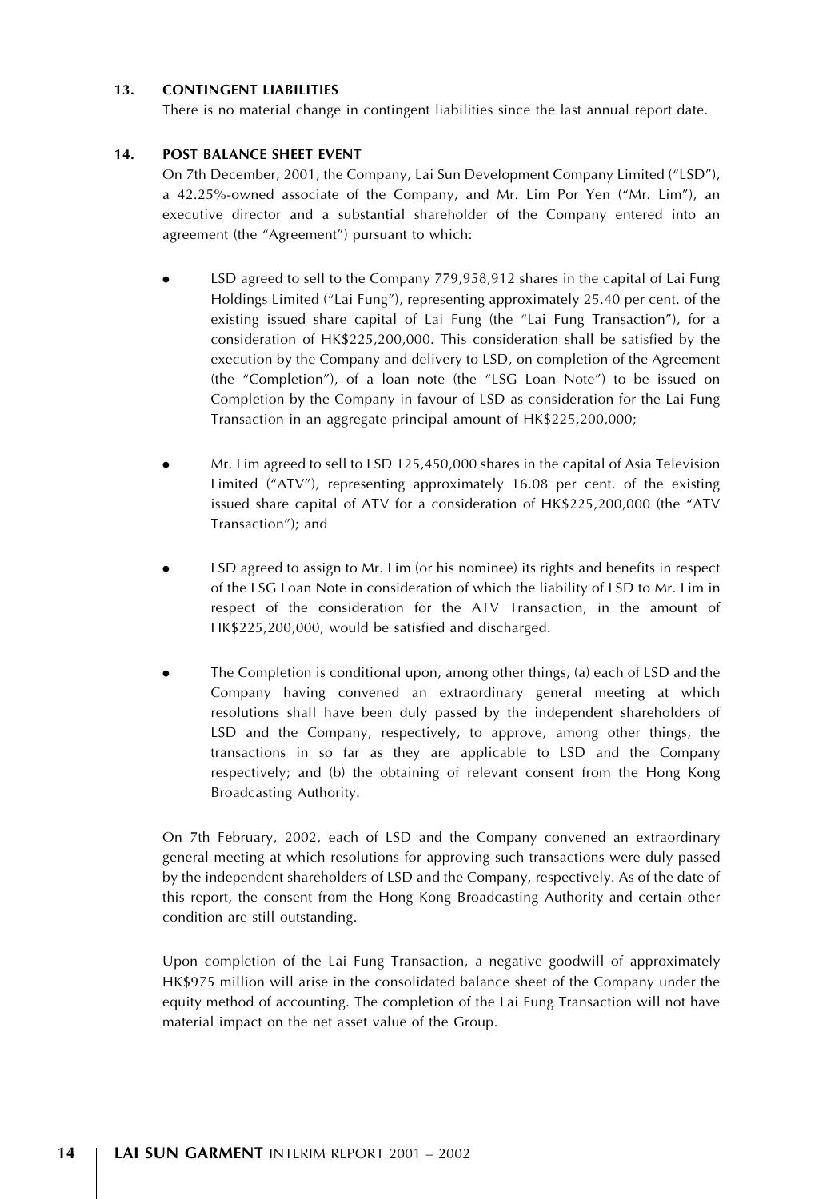#### 13. CONTINGENT LIABILITIES

There is no material change in contingent liabilities since the last annual report date.

#### 14. POST BALANCE SHEET EVENT

On 7th December, 2001, the Company, Lai Sun Development Company Limited ("LSD"), a 42.25%-owned associate of the Company, and Mr. Lim Por Yen (''Mr. Lim''), an executive director and a substantial shareholder of the Company entered into an agreement (the "Agreement") pursuant to which:

- LSD agreed to sell to the Company 779,958,912 shares in the capital of Lai Fung Holdings Limited (''Lai Fung''), representing approximately 25.40 per cent. of the existing issued share capital of Lai Fung (the "Lai Fung Transaction"), for a consideration of HK\$225,200,000. This consideration shall be satisfied by the execution by the Company and delivery to LSD, on completion of the Agreement (the ''Completion''), of a loan note (the ''LSG Loan Note'') to be issued on Completion by the Company in favour of LSD as consideration for the Lai Fung Transaction in an aggregate principal amount of HK\$225,200,000;
- . Mr. Lim agreed to sell to LSD 125,450,000 shares in the capital of Asia Television Limited ("ATV"), representing approximately 16.08 per cent. of the existing issued share capital of ATV for a consideration of HK\$225,200,000 (the ''ATV Transaction''); and
- . LSD agreed to assign to Mr. Lim (or his nominee) its rights and benefits in respect of the LSG Loan Note in consideration of which the liability of LSD to Mr. Lim in respect of the consideration for the ATV Transaction, in the amount of HK\$225,200,000, would be satisfied and discharged.
- . The Completion is conditional upon, among other things, (a) each of LSD and the Company having convened an extraordinary general meeting at which resolutions shall have been duly passed by the independent shareholders of LSD and the Company, respectively, to approve, among other things, the transactions in so far as they are applicable to LSD and the Company respectively; and (b) the obtaining of relevant consent from the Hong Kong Broadcasting Authority.

On 7th February, 2002, each of LSD and the Company convened an extraordinary general meeting at which resolutions for approving such transactions were duly passed by the independent shareholders of LSD and the Company, respectively. As of the date of this report, the consent from the Hong Kong Broadcasting Authority and certain other condition are still outstanding.

Upon completion of the Lai Fung Transaction, a negative goodwill of approximately HK\$975 million will arise in the consolidated balance sheet of the Company under the equity method of accounting. The completion of the Lai Fung Transaction will not have material impact on the net asset value of the Group.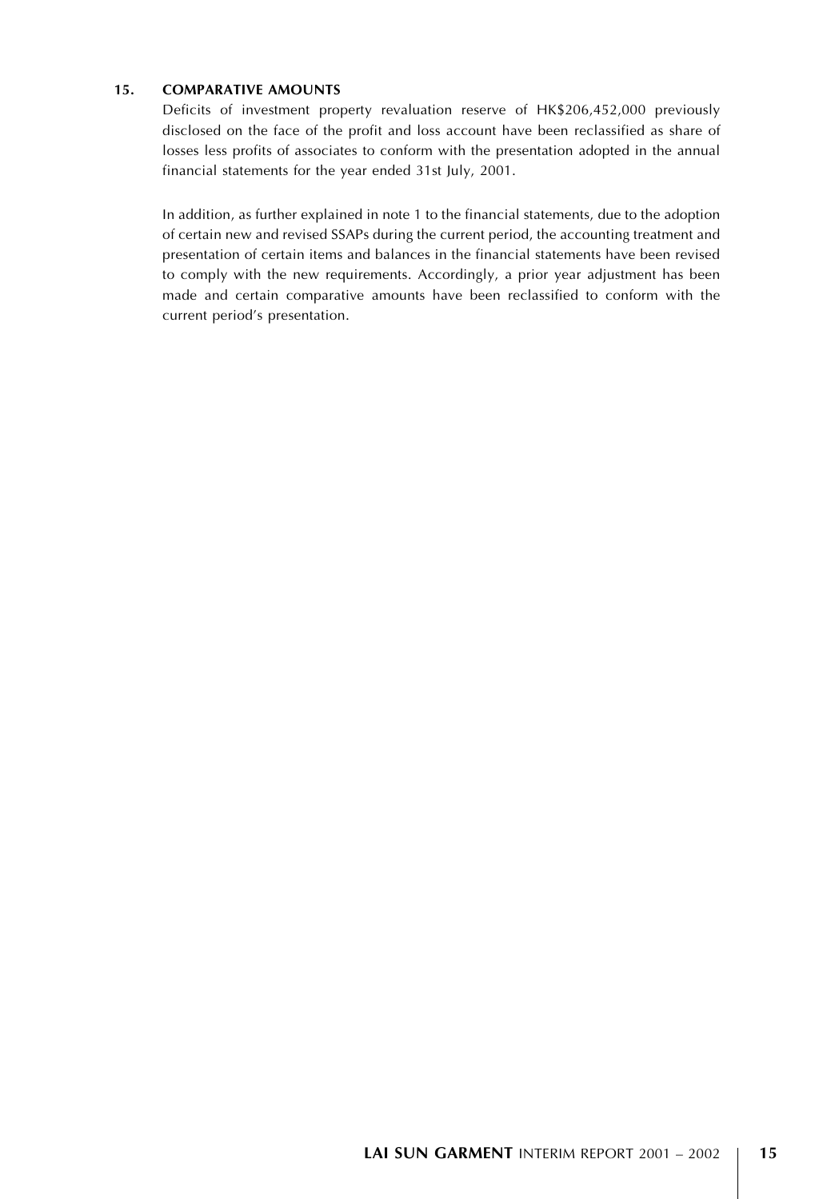#### 15. COMPARATIVE AMOUNTS

Deficits of investment property revaluation reserve of HK\$206,452,000 previously disclosed on the face of the profit and loss account have been reclassified as share of losses less profits of associates to conform with the presentation adopted in the annual financial statements for the year ended 31st July, 2001.

In addition, as further explained in note 1 to the financial statements, due to the adoption of certain new and revised SSAPs during the current period, the accounting treatment and presentation of certain items and balances in the financial statements have been revised to comply with the new requirements. Accordingly, a prior year adjustment has been made and certain comparative amounts have been reclassified to conform with the current period's presentation.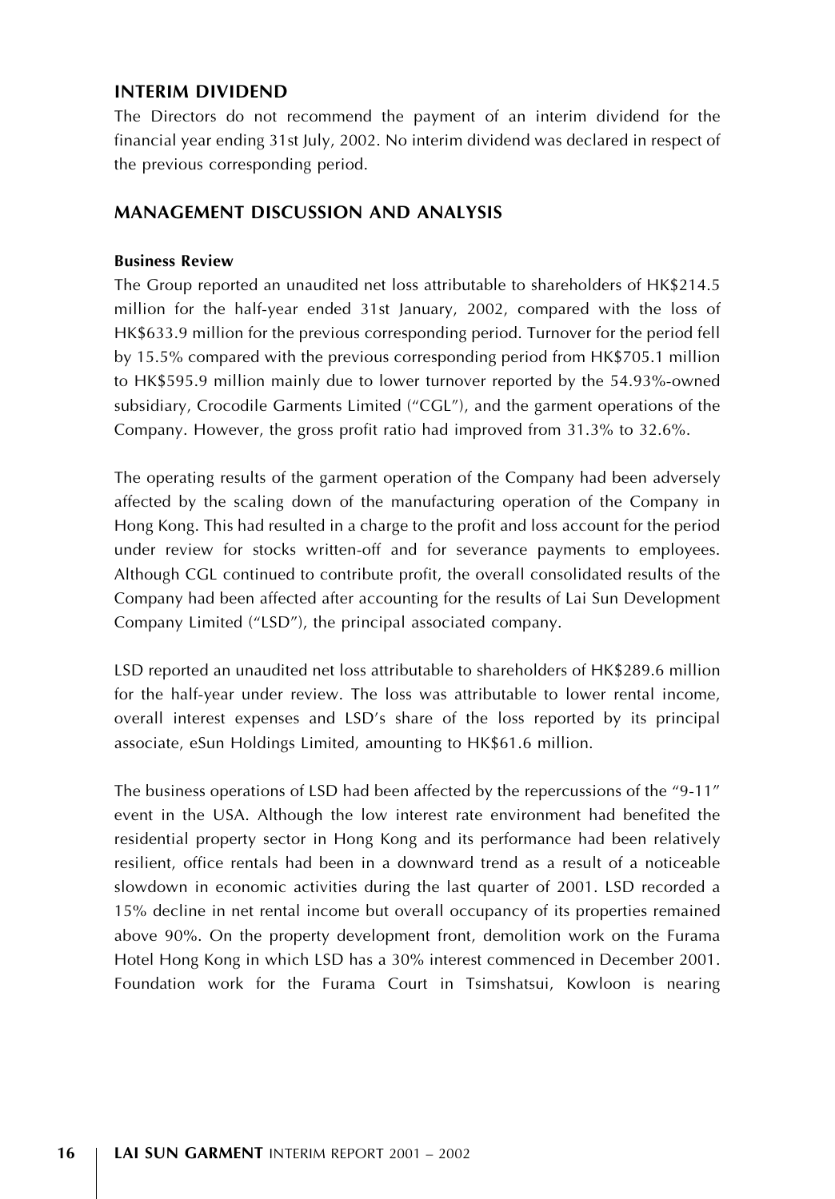# INTERIM DIVIDEND

The Directors do not recommend the payment of an interim dividend for the financial year ending 31st July, 2002. No interim dividend was declared in respect of the previous corresponding period.

# MANAGEMENT DISCUSSION AND ANALYSIS

#### Business Review

The Group reported an unaudited net loss attributable to shareholders of HK\$214.5 million for the half-year ended 31st January, 2002, compared with the loss of HK\$633.9 million for the previous corresponding period. Turnover for the period fell by 15.5% compared with the previous corresponding period from HK\$705.1 million to HK\$595.9 million mainly due to lower turnover reported by the 54.93%-owned subsidiary, Crocodile Garments Limited (''CGL''), and the garment operations of the Company. However, the gross profit ratio had improved from 31.3% to 32.6%.

The operating results of the garment operation of the Company had been adversely affected by the scaling down of the manufacturing operation of the Company in Hong Kong. This had resulted in a charge to the profit and loss account for the period under review for stocks written-off and for severance payments to employees. Although CGL continued to contribute profit, the overall consolidated results of the Company had been affected after accounting for the results of Lai Sun Development Company Limited (''LSD''), the principal associated company.

LSD reported an unaudited net loss attributable to shareholders of HK\$289.6 million for the half-year under review. The loss was attributable to lower rental income, overall interest expenses and LSD's share of the loss reported by its principal associate, eSun Holdings Limited, amounting to HK\$61.6 million.

The business operations of LSD had been affected by the repercussions of the "9-11" event in the USA. Although the low interest rate environment had benefited the residential property sector in Hong Kong and its performance had been relatively resilient, office rentals had been in a downward trend as a result of a noticeable slowdown in economic activities during the last quarter of 2001. LSD recorded a 15% decline in net rental income but overall occupancy of its properties remained above 90%. On the property development front, demolition work on the Furama Hotel Hong Kong in which LSD has a 30% interest commenced in December 2001. Foundation work for the Furama Court in Tsimshatsui, Kowloon is nearing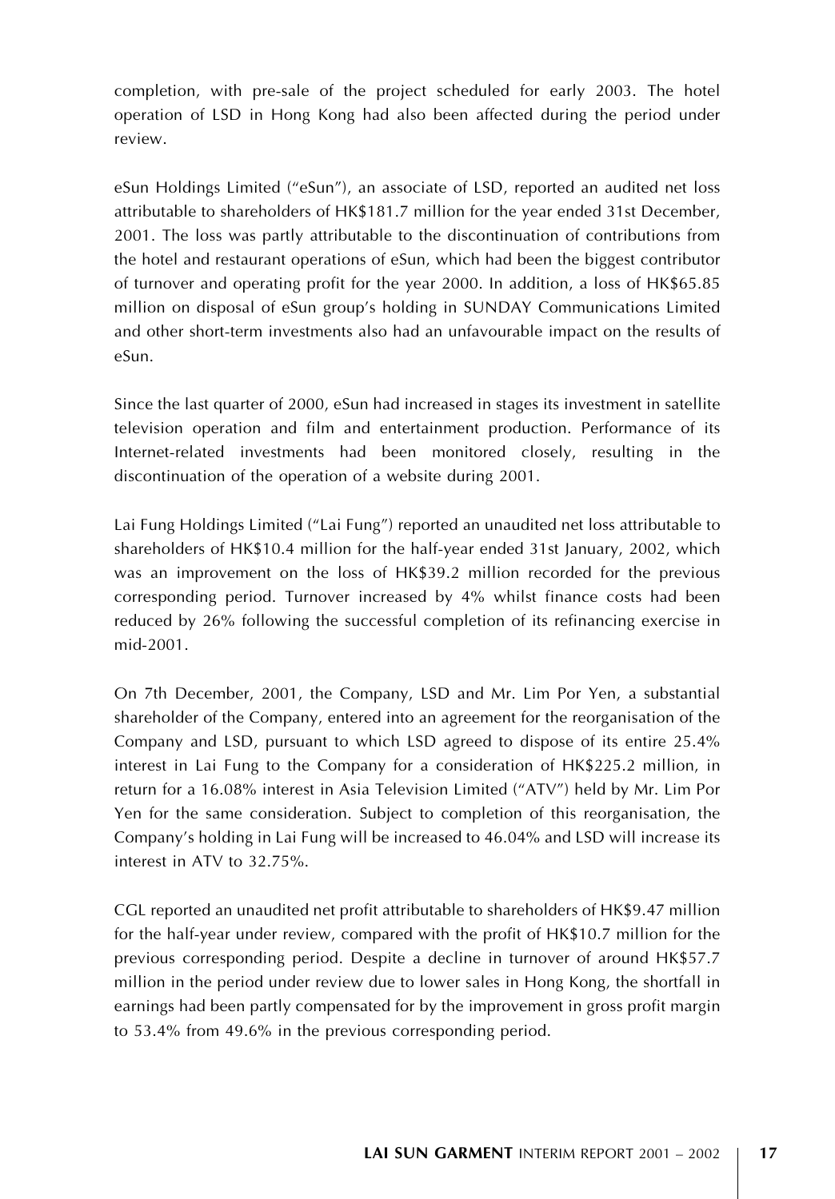completion, with pre-sale of the project scheduled for early 2003. The hotel operation of LSD in Hong Kong had also been affected during the period under review.

eSun Holdings Limited ("eSun"), an associate of LSD, reported an audited net loss attributable to shareholders of HK\$181.7 million for the year ended 31st December, 2001. The loss was partly attributable to the discontinuation of contributions from the hotel and restaurant operations of eSun, which had been the biggest contributor of turnover and operating profit for the year 2000. In addition, a loss of HK\$65.85 million on disposal of eSun group's holding in SUNDAY Communications Limited and other short-term investments also had an unfavourable impact on the results of eSun.

Since the last quarter of 2000, eSun had increased in stages its investment in satellite television operation and film and entertainment production. Performance of its Internet-related investments had been monitored closely, resulting in the discontinuation of the operation of a website during 2001.

Lai Fung Holdings Limited (''Lai Fung'') reported an unaudited net loss attributable to shareholders of HK\$10.4 million for the half-year ended 31st January, 2002, which was an improvement on the loss of HK\$39.2 million recorded for the previous corresponding period. Turnover increased by 4% whilst finance costs had been reduced by 26% following the successful completion of its refinancing exercise in mid-2001.

On 7th December, 2001, the Company, LSD and Mr. Lim Por Yen, a substantial shareholder of the Company, entered into an agreement for the reorganisation of the Company and LSD, pursuant to which LSD agreed to dispose of its entire 25.4% interest in Lai Fung to the Company for a consideration of HK\$225.2 million, in return for a 16.08% interest in Asia Television Limited (''ATV'') held by Mr. Lim Por Yen for the same consideration. Subject to completion of this reorganisation, the Company's holding in Lai Fung will be increased to 46.04% and LSD will increase its interest in ATV to 32.75%.

CGL reported an unaudited net profit attributable to shareholders of HK\$9.47 million for the half-year under review, compared with the profit of HK\$10.7 million for the previous corresponding period. Despite a decline in turnover of around HK\$57.7 million in the period under review due to lower sales in Hong Kong, the shortfall in earnings had been partly compensated for by the improvement in gross profit margin to 53.4% from 49.6% in the previous corresponding period.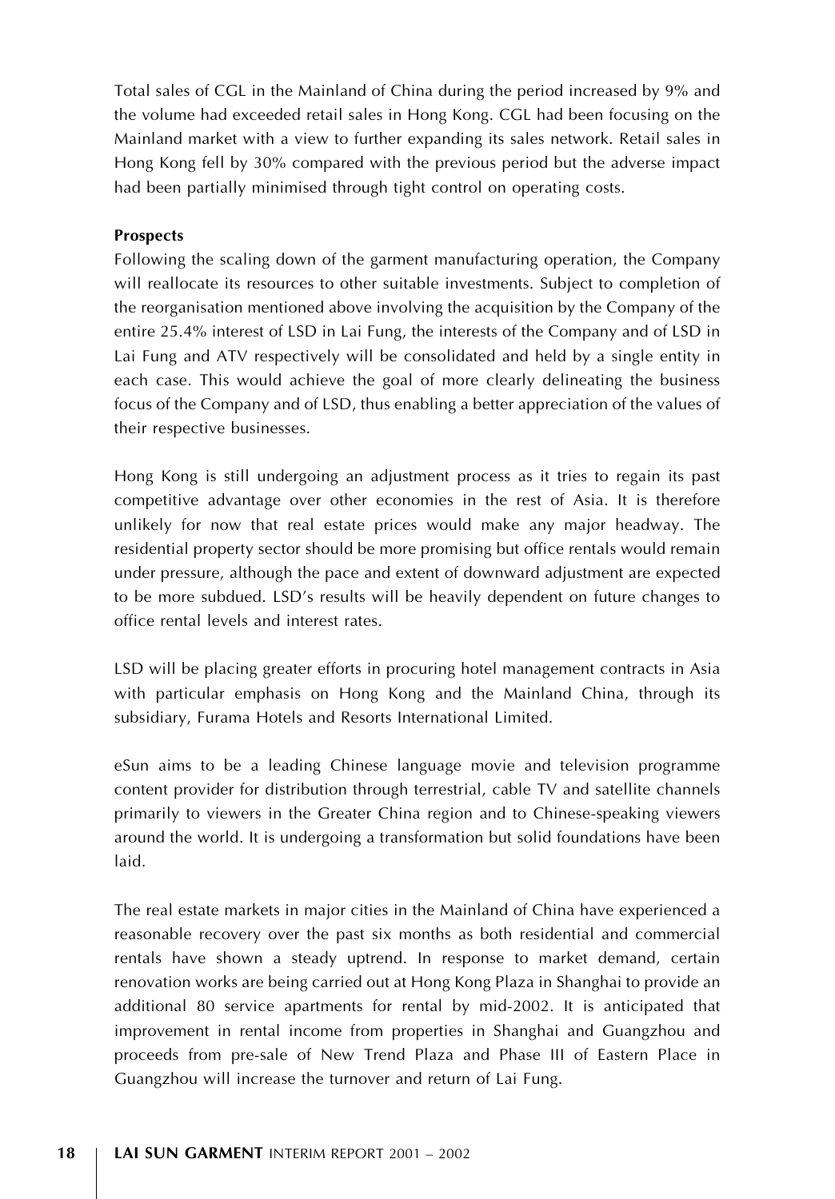Total sales of CGL in the Mainland of China during the period increased by 9% and the volume had exceeded retail sales in Hong Kong. CGL had been focusing on the Mainland market with a view to further expanding its sales network. Retail sales in Hong Kong fell by 30% compared with the previous period but the adverse impact had been partially minimised through tight control on operating costs.

#### Prospects

Following the scaling down of the garment manufacturing operation, the Company will reallocate its resources to other suitable investments. Subject to completion of the reorganisation mentioned above involving the acquisition by the Company of the entire 25.4% interest of LSD in Lai Fung, the interests of the Company and of LSD in Lai Fung and ATV respectively will be consolidated and held by a single entity in each case. This would achieve the goal of more clearly delineating the business focus of the Company and of LSD, thus enabling a better appreciation of the values of their respective businesses.

Hong Kong is still undergoing an adjustment process as it tries to regain its past competitive advantage over other economies in the rest of Asia. It is therefore unlikely for now that real estate prices would make any major headway. The residential property sector should be more promising but office rentals would remain under pressure, although the pace and extent of downward adjustment are expected to be more subdued. LSD's results will be heavily dependent on future changes to office rental levels and interest rates.

LSD will be placing greater efforts in procuring hotel management contracts in Asia with particular emphasis on Hong Kong and the Mainland China, through its subsidiary, Furama Hotels and Resorts International Limited.

eSun aims to be a leading Chinese language movie and television programme content provider for distribution through terrestrial, cable TV and satellite channels primarily to viewers in the Greater China region and to Chinese-speaking viewers around the world. It is undergoing a transformation but solid foundations have been laid.

The real estate markets in major cities in the Mainland of China have experienced a reasonable recovery over the past six months as both residential and commercial rentals have shown a steady uptrend. In response to market demand, certain renovation works are being carried out at Hong Kong Plaza in Shanghai to provide an additional 80 service apartments for rental by mid-2002. It is anticipated that improvement in rental income from properties in Shanghai and Guangzhou and proceeds from pre-sale of New Trend Plaza and Phase III of Eastern Place in Guangzhou will increase the turnover and return of Lai Fung.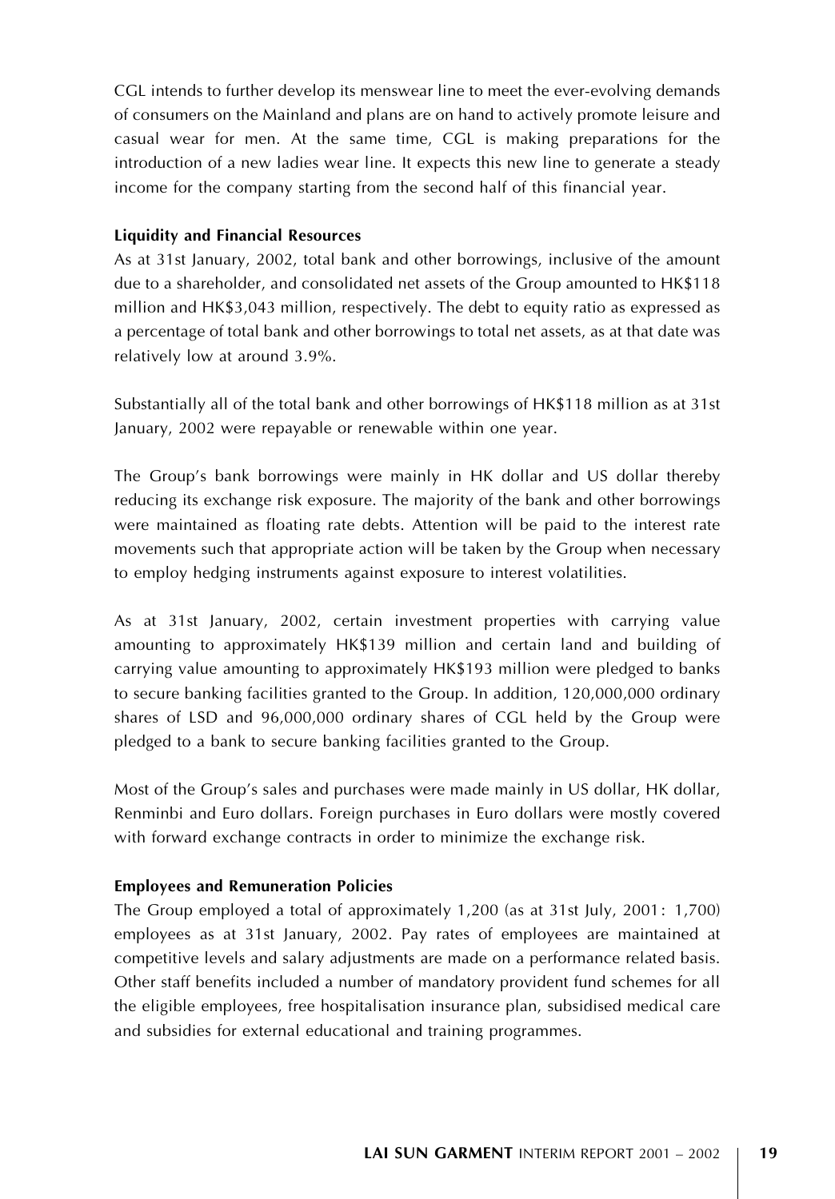CGL intends to further develop its menswear line to meet the ever-evolving demands of consumers on the Mainland and plans are on hand to actively promote leisure and casual wear for men. At the same time, CGL is making preparations for the introduction of a new ladies wear line. It expects this new line to generate a steady income for the company starting from the second half of this financial year.

### Liquidity and Financial Resources

As at 31st January, 2002, total bank and other borrowings, inclusive of the amount due to a shareholder, and consolidated net assets of the Group amounted to HK\$118 million and HK\$3,043 million, respectively. The debt to equity ratio as expressed as a percentage of total bank and other borrowings to total net assets, as at that date was relatively low at around 3.9%.

Substantially all of the total bank and other borrowings of HK\$118 million as at 31st January, 2002 were repayable or renewable within one year.

The Group's bank borrowings were mainly in HK dollar and US dollar thereby reducing its exchange risk exposure. The majority of the bank and other borrowings were maintained as floating rate debts. Attention will be paid to the interest rate movements such that appropriate action will be taken by the Group when necessary to employ hedging instruments against exposure to interest volatilities.

As at 31st January, 2002, certain investment properties with carrying value amounting to approximately HK\$139 million and certain land and building of carrying value amounting to approximately HK\$193 million were pledged to banks to secure banking facilities granted to the Group. In addition, 120,000,000 ordinary shares of LSD and 96,000,000 ordinary shares of CGL held by the Group were pledged to a bank to secure banking facilities granted to the Group.

Most of the Group's sales and purchases were made mainly in US dollar, HK dollar, Renminbi and Euro dollars. Foreign purchases in Euro dollars were mostly covered with forward exchange contracts in order to minimize the exchange risk.

# Employees and Remuneration Policies

The Group employed a total of approximately 1,200 (as at 31st July, 2001: 1,700) employees as at 31st January, 2002. Pay rates of employees are maintained at competitive levels and salary adjustments are made on a performance related basis. Other staff benefits included a number of mandatory provident fund schemes for all the eligible employees, free hospitalisation insurance plan, subsidised medical care and subsidies for external educational and training programmes.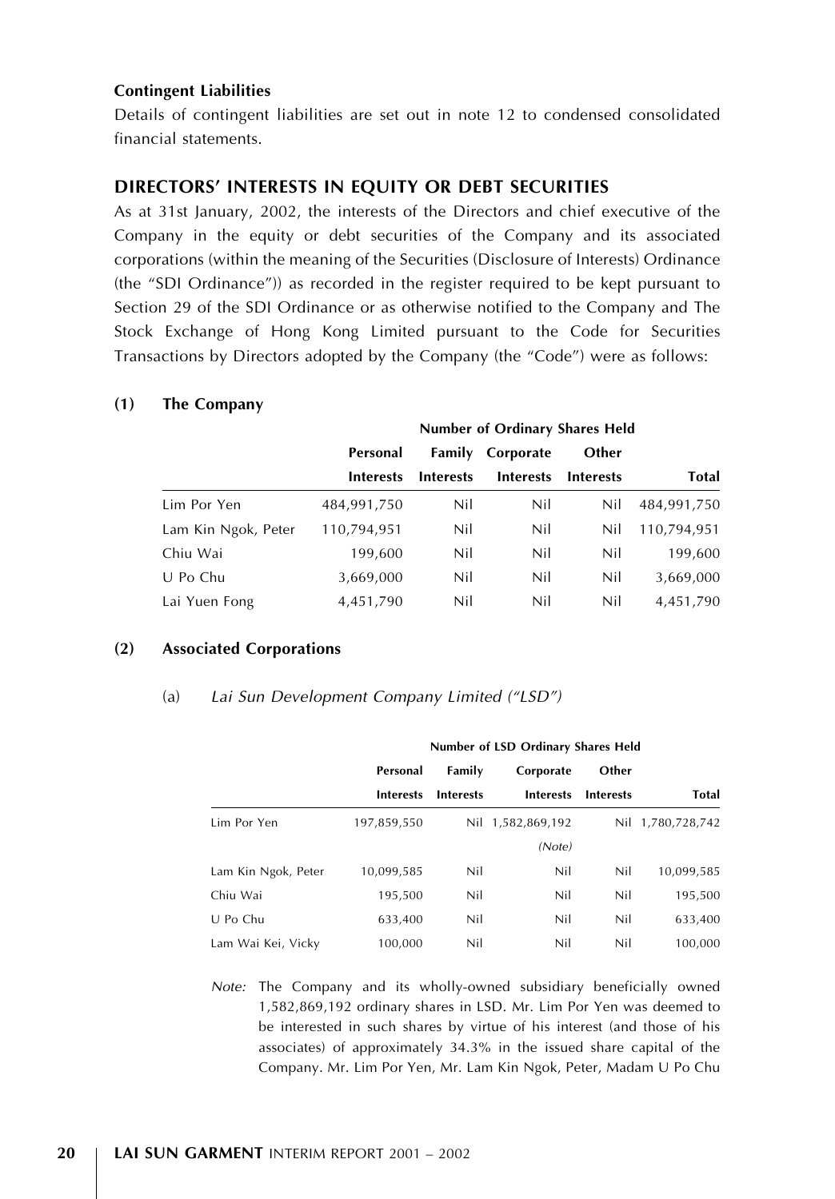#### Contingent Liabilities

Details of contingent liabilities are set out in note 12 to condensed consolidated financial statements.

# DIRECTORS' INTERESTS IN EQUITY OR DEBT SECURITIES

As at 31st January, 2002, the interests of the Directors and chief executive of the Company in the equity or debt securities of the Company and its associated corporations (within the meaning of the Securities (Disclosure of Interests) Ordinance (the ''SDI Ordinance'')) as recorded in the register required to be kept pursuant to Section 29 of the SDI Ordinance or as otherwise notified to the Company and The Stock Exchange of Hong Kong Limited pursuant to the Code for Securities Transactions by Directors adopted by the Company (the "Code") were as follows:

|                     | Number of Ordinary Shares Held               |                  |                  |                  |              |
|---------------------|----------------------------------------------|------------------|------------------|------------------|--------------|
|                     | <b>Family Corporate</b><br>Personal<br>Other |                  |                  |                  |              |
|                     | <b>Interests</b>                             | <b>Interests</b> | <b>Interests</b> | <b>Interests</b> | <b>Total</b> |
| Lim Por Yen         | 484.991.750                                  | Nil              | Nil              | Nil              | 484.991.750  |
| Lam Kin Ngok, Peter | 110.794.951                                  | Nil              | Nil              | Nil              | 110.794.951  |
| Chiu Wai            | 199,600                                      | Nil              | Nil              | Nil              | 199,600      |
| U Po Chu            | 3,669,000                                    | Nil              | Nil              | Nil              | 3,669,000    |
| Lai Yuen Fong       | 4,451,790                                    | Nil              | Nil              | Nil              | 4.451.790    |

#### (1) The Company

# (2) Associated Corporations

#### (a) Lai Sun Development Company Limited (''LSD'')

|                     | Number of LSD Ordinary Shares Held |                              |                   |                  |                   |  |
|---------------------|------------------------------------|------------------------------|-------------------|------------------|-------------------|--|
|                     | Personal                           | Family<br>Other<br>Corporate |                   |                  |                   |  |
|                     | <b>Interests</b>                   | <b>Interests</b>             | <b>Interests</b>  | <b>Interests</b> | Total             |  |
| Lim Por Yen         | 197,859,550                        |                              | Nil 1,582,869,192 |                  | Nil 1,780,728,742 |  |
|                     |                                    |                              | (Note)            |                  |                   |  |
| Lam Kin Ngok, Peter | 10.099.585                         | Nil                          | Nil               | Nil              | 10,099,585        |  |
| Chiu Wai            | 195.500                            | Nil                          | Nil               | Nil              | 195.500           |  |
| U Po Chu            | 633.400                            | Nil                          | Nil               | Nil              | 633.400           |  |
| Lam Wai Kei, Vicky  | 100.000                            | Nil                          | Nil               | Nil              | 100.000           |  |

Note: The Company and its wholly-owned subsidiary beneficially owned 1,582,869,192 ordinary shares in LSD. Mr. Lim Por Yen was deemed to be interested in such shares by virtue of his interest (and those of his associates) of approximately 34.3% in the issued share capital of the Company. Mr. Lim Por Yen, Mr. Lam Kin Ngok, Peter, Madam U Po Chu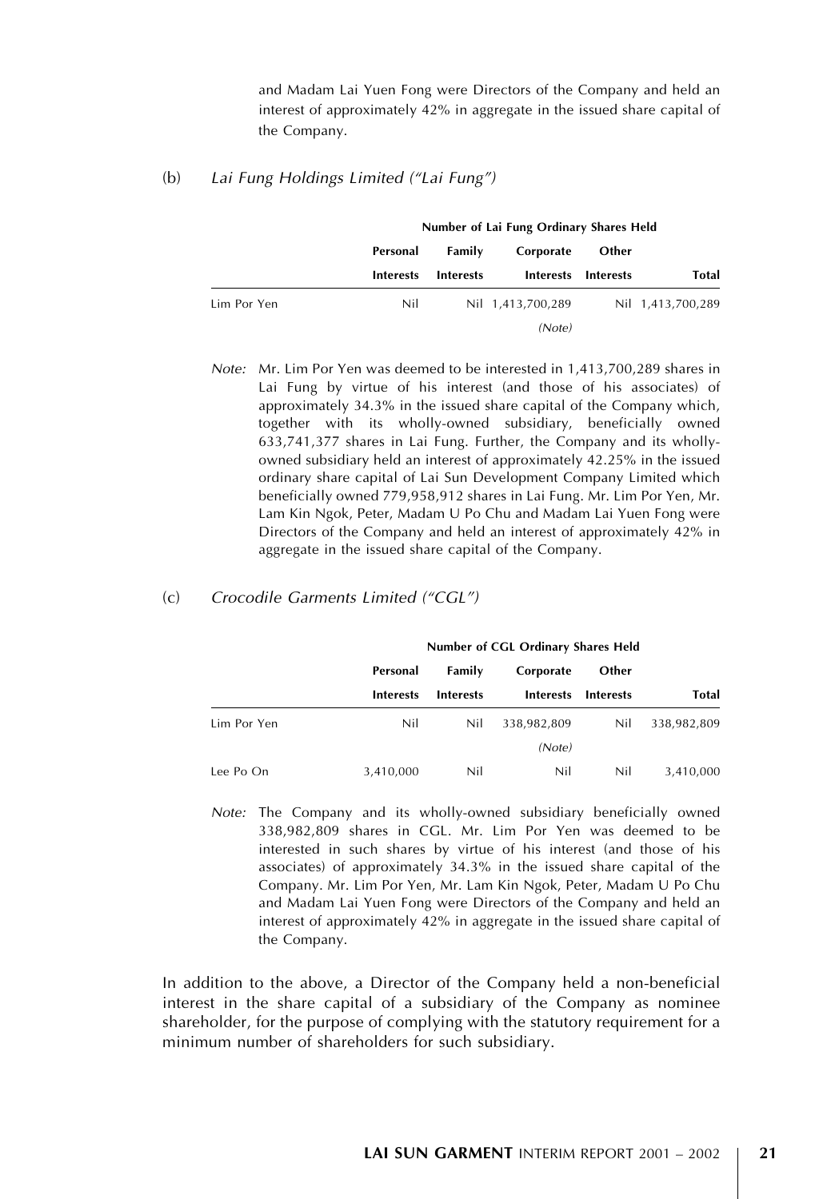and Madam Lai Yuen Fong were Directors of the Company and held an interest of approximately 42% in aggregate in the issued share capital of the Company.

#### (b) Lai Fung Holdings Limited (''Lai Fung'')

|             | Number of Lai Fung Ordinary Shares Held |                  |                   |                  |                   |
|-------------|-----------------------------------------|------------------|-------------------|------------------|-------------------|
|             | Personal                                | Family           | Corporate         | Other            | Total             |
|             | <b>Interests</b>                        | <b>Interests</b> | <b>Interests</b>  | <b>Interests</b> |                   |
| Lim Por Yen | Nil                                     |                  | Nil 1,413,700,289 |                  | Nil 1,413,700,289 |
|             |                                         |                  | (Note)            |                  |                   |

Note: Mr. Lim Por Yen was deemed to be interested in 1,413,700,289 shares in Lai Fung by virtue of his interest (and those of his associates) of approximately 34.3% in the issued share capital of the Company which, together with its wholly-owned subsidiary, beneficially owned 633,741,377 shares in Lai Fung. Further, the Company and its whollyowned subsidiary held an interest of approximately 42.25% in the issued ordinary share capital of Lai Sun Development Company Limited which beneficially owned 779,958,912 shares in Lai Fung. Mr. Lim Por Yen, Mr. Lam Kin Ngok, Peter, Madam U Po Chu and Madam Lai Yuen Fong were Directors of the Company and held an interest of approximately 42% in aggregate in the issued share capital of the Company.

### (c) Crocodile Garments Limited (''CGL'')

|             | Number of CGL Ordinary Shares Held |                                                |                               |                           |             |
|-------------|------------------------------------|------------------------------------------------|-------------------------------|---------------------------|-------------|
|             | Personal                           | Family<br><b>Interests</b><br><b>Interests</b> | Corporate<br><b>Interests</b> | Other<br><b>Interests</b> | Total       |
|             |                                    |                                                |                               |                           |             |
| Lim Por Yen | Nil                                | Nil                                            | 338.982.809                   | Nil                       | 338.982.809 |
|             |                                    |                                                | (Note)                        |                           |             |
| Lee Po On   | 3,410,000                          | Nil                                            | Nil                           | Nil                       | 3,410,000   |

Note: The Company and its wholly-owned subsidiary beneficially owned 338,982,809 shares in CGL. Mr. Lim Por Yen was deemed to be interested in such shares by virtue of his interest (and those of his associates) of approximately 34.3% in the issued share capital of the Company. Mr. Lim Por Yen, Mr. Lam Kin Ngok, Peter, Madam U Po Chu and Madam Lai Yuen Fong were Directors of the Company and held an interest of approximately 42% in aggregate in the issued share capital of the Company.

In addition to the above, a Director of the Company held a non-beneficial interest in the share capital of a subsidiary of the Company as nominee shareholder, for the purpose of complying with the statutory requirement for a minimum number of shareholders for such subsidiary.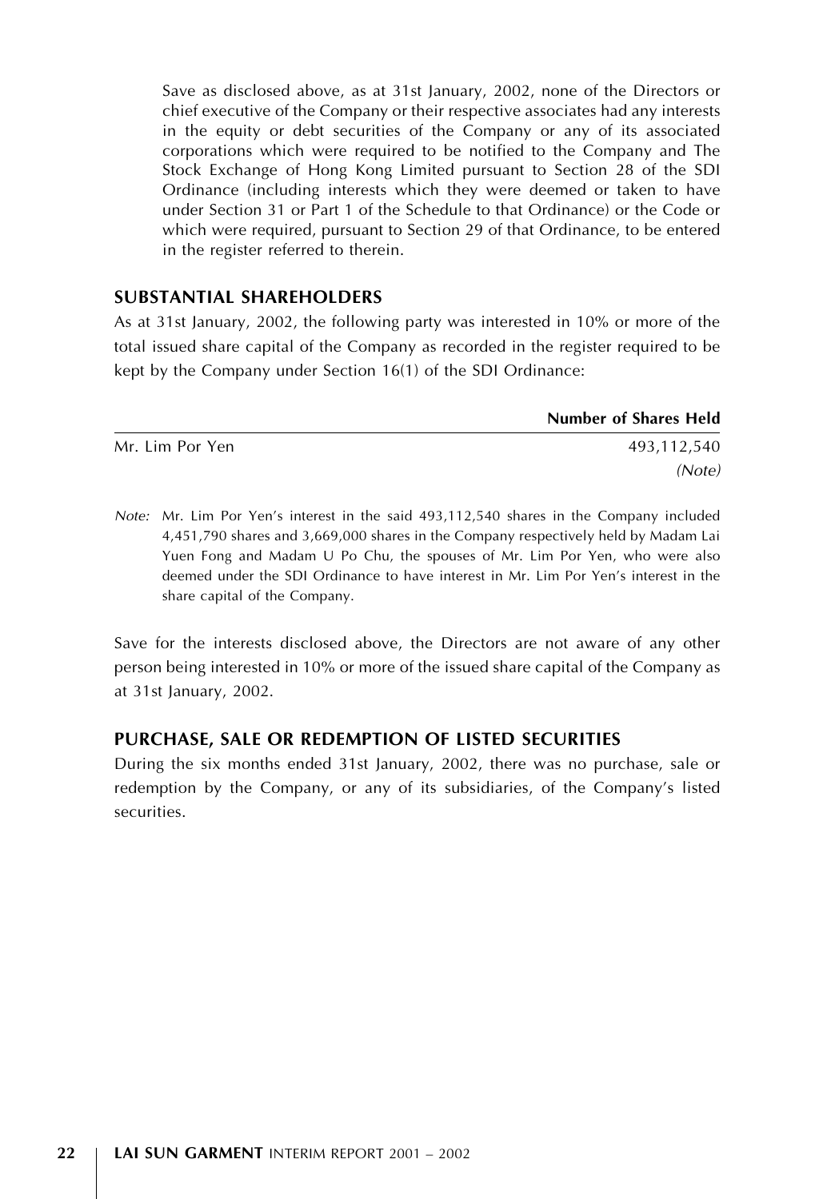Save as disclosed above, as at 31st January, 2002, none of the Directors or chief executive of the Company or their respective associates had any interests in the equity or debt securities of the Company or any of its associated corporations which were required to be notified to the Company and The Stock Exchange of Hong Kong Limited pursuant to Section 28 of the SDI Ordinance (including interests which they were deemed or taken to have under Section 31 or Part 1 of the Schedule to that Ordinance) or the Code or which were required, pursuant to Section 29 of that Ordinance, to be entered in the register referred to therein.

# SUBSTANTIAL SHAREHOLDERS

As at 31st January, 2002, the following party was interested in 10% or more of the total issued share capital of the Company as recorded in the register required to be kept by the Company under Section 16(1) of the SDI Ordinance:

|                 | <b>Number of Shares Held</b> |
|-----------------|------------------------------|
| Mr. Lim Por Yen | 493,112,540                  |
|                 | (Note)                       |

Note: Mr. Lim Por Yen's interest in the said 493,112,540 shares in the Company included 4,451,790 shares and 3,669,000 shares in the Company respectively held by Madam Lai Yuen Fong and Madam U Po Chu, the spouses of Mr. Lim Por Yen, who were also deemed under the SDI Ordinance to have interest in Mr. Lim Por Yen's interest in the share capital of the Company.

Save for the interests disclosed above, the Directors are not aware of any other person being interested in 10% or more of the issued share capital of the Company as at 31st January, 2002.

# PURCHASE, SALE OR REDEMPTION OF LISTED SECURITIES

During the six months ended 31st January, 2002, there was no purchase, sale or redemption by the Company, or any of its subsidiaries, of the Company's listed securities.